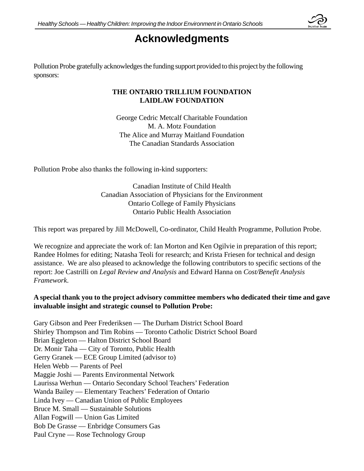

# **Acknowledgments**

Pollution Probe gratefully acknowledges the funding support provided to this project by the following sponsors:

#### **THE ONTARIO TRILLIUM FOUNDATION LAIDLAW FOUNDATION**

George Cedric Metcalf Charitable Foundation M. A. Motz Foundation The Alice and Murray Maitland Foundation The Canadian Standards Association

Pollution Probe also thanks the following in-kind supporters:

Canadian Institute of Child Health Canadian Association of Physicians for the Environment Ontario College of Family Physicians Ontario Public Health Association

This report was prepared by Jill McDowell, Co-ordinator, Child Health Programme, Pollution Probe.

We recognize and appreciate the work of: Ian Morton and Ken Ogilvie in preparation of this report; Randee Holmes for editing; Natasha Teoli for research; and Krista Friesen for technical and design assistance. We are also pleased to acknowledge the following contributors to specific sections of the report: Joe Castrilli on *Legal Review and Analysis* and Edward Hanna on *Cost/Benefit Analysis Framework*.

#### **A special thank you to the project advisory committee members who dedicated their time and gave invaluable insight and strategic counsel to Pollution Probe:**

Gary Gibson and Peer Frederiksen — The Durham District School Board Shirley Thompson and Tim Robins — Toronto Catholic District School Board Brian Eggleton — Halton District School Board Dr. Monir Taha — City of Toronto, Public Health Gerry Granek — ECE Group Limited (advisor to) Helen Webb — Parents of Peel Maggie Joshi — Parents Environmental Network Laurissa Werhun — Ontario Secondary School Teachers' Federation Wanda Bailey — Elementary Teachers' Federation of Ontario Linda Ivey — Canadian Union of Public Employees Bruce M. Small — Sustainable Solutions Allan Fogwill — Union Gas Limited Bob De Grasse — Enbridge Consumers Gas Paul Cryne — Rose Technology Group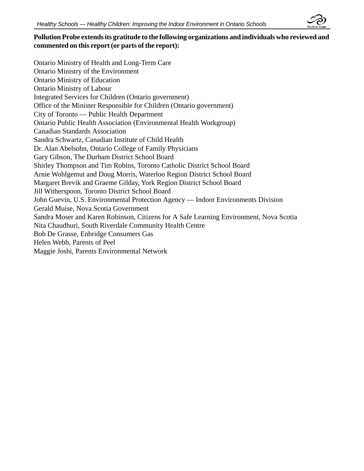#### **Pollution Probe extends its gratitude to the following organizations and individuals who reviewed and commented on this report (or parts of the report):**

Ontario Ministry of Health and Long-Term Care Ontario Ministry of the Environment Ontario Ministry of Education Ontario Ministry of Labour Integrated Services for Children (Ontario government) Office of the Minister Responsible for Children (Ontario government) City of Toronto — Public Health Department Ontario Public Health Association (Environmental Health Workgroup) Canadian Standards Association Sandra Schwartz, Canadian Institute of Child Health Dr. Alan Abelsohn, Ontario College of Family Physicians Gary Gibson, The Durham District School Board Shirley Thompson and Tim Robins, Toronto Catholic District School Board Arnie Wohlgemut and Doug Morris, Waterloo Region District School Board Margaret Brevik and Graeme Gilday, York Region District School Board Jill Witherspoon, Toronto District School Board John Guevin, U.S. Environmental Protection Agency — Indoor Environments Division Gerald Muise, Nova Scotia Government Sandra Moser and Karen Robinson, Citizens for A Safe Learning Environment, Nova Scotia Nita Chaudhuri, South Riverdale Community Health Centre Bob De Grasse, Enbridge Consumers Gas Helen Webb, Parents of Peel Maggie Joshi, Parents Environmental Network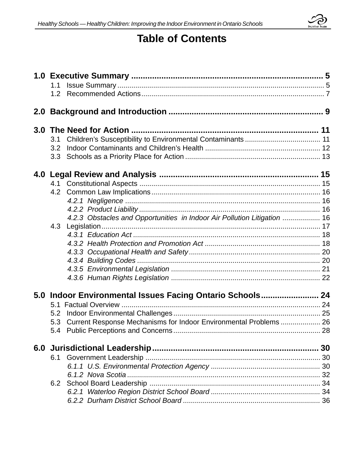

# **Table of Contents**

|     | 1.1 |                                                                          |  |
|-----|-----|--------------------------------------------------------------------------|--|
|     | 1.2 |                                                                          |  |
| 2.0 |     |                                                                          |  |
|     |     |                                                                          |  |
|     | 3.1 |                                                                          |  |
|     | 3.2 |                                                                          |  |
|     |     |                                                                          |  |
|     |     |                                                                          |  |
|     |     |                                                                          |  |
|     |     |                                                                          |  |
|     |     |                                                                          |  |
|     |     |                                                                          |  |
|     |     | 4.2.3 Obstacles and Opportunities in Indoor Air Pollution Litigation  16 |  |
|     | 4.3 |                                                                          |  |
|     |     |                                                                          |  |
|     |     |                                                                          |  |
|     |     |                                                                          |  |
|     |     |                                                                          |  |
|     |     |                                                                          |  |
|     |     |                                                                          |  |
|     |     | 5.0 Indoor Environmental Issues Facing Ontario Schools 24                |  |
|     |     |                                                                          |  |
|     | 5.2 |                                                                          |  |
|     | 5.3 | Current Response Mechanisms for Indoor Environmental Problems  26        |  |
|     |     |                                                                          |  |
|     |     |                                                                          |  |
|     | 6.1 |                                                                          |  |
|     |     |                                                                          |  |
|     |     |                                                                          |  |
|     |     |                                                                          |  |
|     |     |                                                                          |  |
|     |     |                                                                          |  |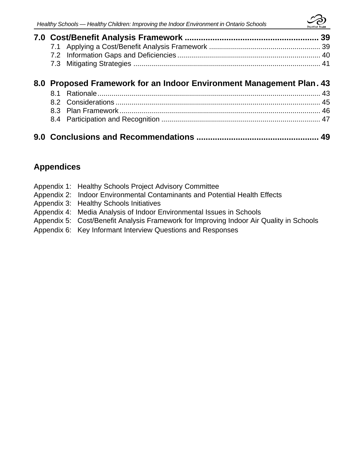

# **[8.0 Proposed Framework for an Indoor Environment Management Plan. 43](#page-40-0)**

# **[9.0 Conclusions and Recommendations ..................................................... 49](#page-46-0)**

# **Appendices**

- Appendix 1: Healthy Schools Project Advisory Committee
- Appendix 2: Indoor Environmental Contaminants and Potential Health Effects
- Appendix 3: Healthy Schools Initiatives
- Appendix 4: Media Analysis of Indoor Environmental Issues in Schools
- Appendix 5: Cost/Benefit Analysis Framework for Improving Indoor Air Quality in Schools
- Appendix 6: Key Informant Interview Questions and Responses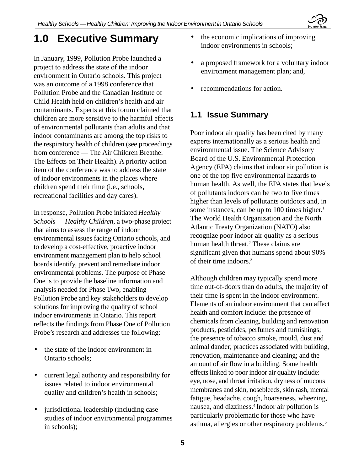

# <span id="page-4-0"></span>**1.0 Executive Summary**

In January, 1999, Pollution Probe launched a project to address the state of the indoor environment in Ontario schools. This project was an outcome of a 1998 conference that Pollution Probe and the Canadian Institute of Child Health held on children's health and air contaminants. Experts at this forum claimed that children are more sensitive to the harmful effects of environmental pollutants than adults and that indoor contaminants are among the top risks to the respiratory health of children (see proceedings from conference — The Air Children Breathe: The Effects on Their Health). A priority action item of the conference was to address the state of indoor environments in the places where children spend their time (i.e., schools, recreational facilities and day cares).

In response, Pollution Probe initiated *Healthy Schools — Healthy Children*, a two-phase project that aims to assess the range of indoor environmental issues facing Ontario schools, and to develop a cost-effective, proactive indoor environment management plan to help school boards identify, prevent and remediate indoor environmental problems. The purpose of Phase One is to provide the baseline information and analysis needed for Phase Two, enabling Pollution Probe and key stakeholders to develop solutions for improving the quality of school indoor environments in Ontario. This report reflects the findings from Phase One of Pollution Probe's research and addresses the following:

- the state of the indoor environment in Ontario schools;
- current legal authority and responsibility for issues related to indoor environmental quality and children's health in schools;
- jurisdictional leadership (including case studies of indoor environmental programmes in schools);
- the economic implications of improving indoor environments in schools;
- a proposed framework for a voluntary indoor environment management plan; and,
- recommendations for action.

### **1.1 Issue Summary**

Poor indoor air quality has been cited by many experts internationally as a serious health and environmental issue. The Science Advisory Board of the U.S. Environmental Protection Agency (EPA) claims that indoor air pollution is one of the top five environmental hazards to human health. As well, the EPA states that levels of pollutants indoors can be two to five times higher than levels of pollutants outdoors and, in some instances, can be up to 100 times higher.<sup>1</sup> The World Health Organization and the North Atlantic Treaty Organization (NATO) also recognize poor indoor air quality as a serious human health threat.<sup>2</sup> These claims are significant given that humans spend about 90% of their time indoors.3

Although children may typically spend more time out-of-doors than do adults, the majority of their time is spent in the indoor environment. Elements of an indoor environment that can affect health and comfort include: the presence of chemicals from cleaning, building and renovation products, pesticides, perfumes and furnishings; the presence of tobacco smoke, mould, dust and animal dander; practices associated with building, renovation, maintenance and cleaning; and the amount of air flow in a building. Some health effects linked to poor indoor air quality include: eye, nose, and throat irritation, dryness of mucous membranes and skin, nosebleeds, skin rash, mental fatigue, headache, cough, hoarseness, wheezing, nausea, and dizziness.4 Indoor air pollution is particularly problematic for those who have asthma, allergies or other respiratory problems.<sup>5</sup>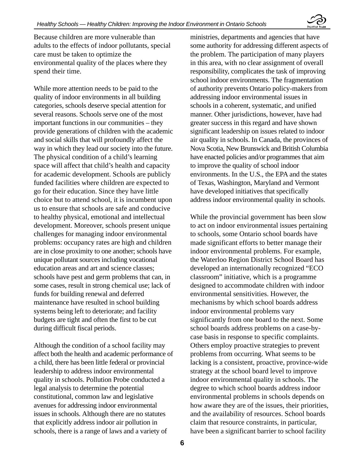

Because children are more vulnerable than adults to the effects of indoor pollutants, special care must be taken to optimize the environmental quality of the places where they spend their time.

While more attention needs to be paid to the quality of indoor environments in all building categories, schools deserve special attention for several reasons. Schools serve one of the most important functions in our communities – they provide generations of children with the academic and social skills that will profoundly affect the way in which they lead our society into the future. The physical condition of a child's learning space will affect that child's health and capacity for academic development. Schools are publicly funded facilities where children are expected to go for their education. Since they have little choice but to attend school, it is incumbent upon us to ensure that schools are safe and conducive to healthy physical, emotional and intellectual development. Moreover, schools present unique challenges for managing indoor environmental problems: occupancy rates are high and children are in close proximity to one another; schools have unique pollutant sources including vocational education areas and art and science classes; schools have pest and germ problems that can, in some cases, result in strong chemical use; lack of funds for building renewal and deferred maintenance have resulted in school building systems being left to deteriorate; and facility budgets are tight and often the first to be cut during difficult fiscal periods.

Although the condition of a school facility may affect both the health and academic performance of a child, there has been little federal or provincial leadership to address indoor environmental quality in schools. Pollution Probe conducted a legal analysis to determine the potential constitutional, common law and legislative avenues for addressing indoor environmental issues in schools. Although there are no statutes that explicitly address indoor air pollution in schools, there is a range of laws and a variety of

ministries, departments and agencies that have some authority for addressing different aspects of the problem. The participation of many players in this area, with no clear assignment of overall responsibility, complicates the task of improving school indoor environments. The fragmentation of authority prevents Ontario policy-makers from addressing indoor environmental issues in schools in a coherent, systematic, and unified manner. Other jurisdictions, however, have had greater success in this regard and have shown significant leadership on issues related to indoor air quality in schools. In Canada, the provinces of Nova Scotia, New Brunswick and British Columbia have enacted policies and/or programmes that aim to improve the quality of school indoor environments. In the U.S., the EPA and the states of Texas, Washington, Maryland and Vermont have developed initiatives that specifically address indoor environmental quality in schools.

While the provincial government has been slow to act on indoor environmental issues pertaining to schools, some Ontario school boards have made significant efforts to better manage their indoor environmental problems. For example, the Waterloo Region District School Board has developed an internationally recognized "ECO classroom" initiative, which is a programme designed to accommodate children with indoor environmental sensitivities. However, the mechanisms by which school boards address indoor environmental problems vary significantly from one board to the next. Some school boards address problems on a case-bycase basis in response to specific complaints. Others employ proactive strategies to prevent problems from occurring. What seems to be lacking is a consistent, proactive, province-wide strategy at the school board level to improve indoor environmental quality in schools. The degree to which school boards address indoor environmental problems in schools depends on how aware they are of the issues, their priorities, and the availability of resources. School boards claim that resource constraints, in particular, have been a significant barrier to school facility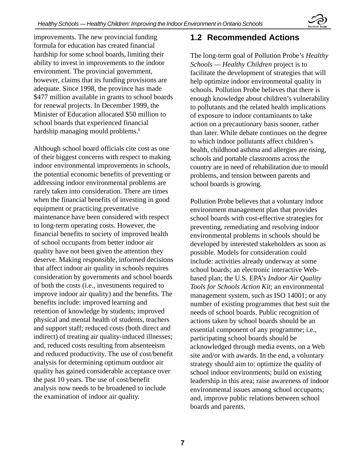

<span id="page-6-0"></span>improvements. The new provincial funding formula for education has created financial hardship for some school boards, limiting their ability to invest in improvements to the indoor environment. The provincial government, however, claims that its funding provisions are adequate. Since 1998, the province has made \$477 million available in grants to school boards for renewal projects. In December 1999, the Minister of Education allocated \$50 million to school boards that experienced financial hardship managing mould problems.<sup>6</sup>

Although school board officials cite cost as one of their biggest concerns with respect to making indoor environmental improvements in schools, the potential economic benefits of preventing or addressing indoor environmental problems are rarely taken into consideration. There are times when the financial benefits of investing in good equipment or practicing preventative maintenance have been considered with respect to long-term operating costs. However, the financial benefits to society of improved health of school occupants from better indoor air quality have not been given the attention they deserve. Making responsible, informed decisions that affect indoor air quality in schools requires consideration by governments and school boards of both the costs (i.e., investments required to improve indoor air quality) and the benefits. The benefits include: improved learning and retention of knowledge by students; improved physical and mental health of students, teachers and support staff; reduced costs (both direct and indirect) of treating air quality-induced illnesses; and, reduced costs resulting from absenteeism and reduced productivity. The use of cost/benefit analysis for determining optimum outdoor air quality has gained considerable acceptance over the past 10 years. The use of cost/benefit analysis now needs to be broadened to include the examination of indoor air quality.

#### **1.2 Recommended Actions**

The long-term goal of Pollution Probe's *Healthy Schools — Healthy Children* project is to facilitate the development of strategies that will help optimize indoor environmental quality in schools. Pollution Probe believes that there is enough knowledge about children's vulnerability to pollutants and the related health implications of exposure to indoor contaminants to take action on a precautionary basis sooner, rather than later. While debate continues on the degree to which indoor pollutants affect children's health, childhood asthma and allergies are rising, schools and portable classrooms across the country are in need of rehabilitation due to mould problems, and tension between parents and school boards is growing.

Pollution Probe believes that a voluntary indoor environment management plan that provides school boards with cost-effective strategies for preventing, remediating and resolving indoor environmental problems in schools should be developed by interested stakeholders as soon as possible. Models for consideration could include: activities already underway at some school boards; an electronic interactive Webbased plan; the U.S. EPA's *Indoor Air Quality Tools for Schools Action Kit*; an environmental management system, such as ISO 14001; or any number of existing programmes that best suit the needs of school boards. Public recognition of actions taken by school boards should be an essential component of any programme; i.e., participating school boards should be acknowledged through media events, on a Web site and/or with awards. In the end, a voluntary strategy should aim to: optimize the quality of school indoor environments; build on existing leadership in this area; raise awareness of indoor environmental issues among school occupants; and, improve public relations between school boards and parents.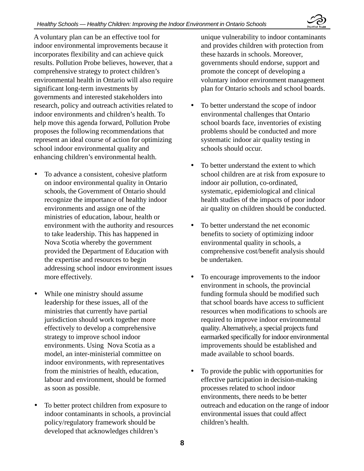<span id="page-7-0"></span>A voluntary plan can be an effective tool for indoor environmental improvements because it incorporates flexibility and can achieve quick results. Pollution Probe believes, however, that a comprehensive strategy to protect children's environmental health in Ontario will also require significant long-term investments by governments and interested stakeholders into research, policy and outreach activities related to indoor environments and children's health. To help move this agenda forward, Pollution Probe proposes the following recommendations that represent an ideal course of action for optimizing school indoor environmental quality and enhancing children's environmental health.

- To advance a consistent, cohesive platform on indoor environmental quality in Ontario schools, the Government of Ontario should recognize the importance of healthy indoor environments and assign one of the ministries of education, labour, health or environment with the authority and resources to take leadership. This has happened in Nova Scotia whereby the government provided the Department of Education with the expertise and resources to begin addressing school indoor environment issues more effectively.
- While one ministry should assume leadership for these issues, all of the ministries that currently have partial jurisdiction should work together more effectively to develop a comprehensive strategy to improve school indoor environments. Using Nova Scotia as a model, an inter-ministerial committee on indoor environments, with representatives from the ministries of health, education, labour and environment, should be formed as soon as possible.
- To better protect children from exposure to indoor contaminants in schools, a provincial policy/regulatory framework should be developed that acknowledges children's

unique vulnerability to indoor contaminants and provides children with protection from these hazards in schools. Moreover, governments should endorse, support and promote the concept of developing a voluntary indoor environment management plan for Ontario schools and school boards.

- To better understand the scope of indoor environmental challenges that Ontario school boards face, inventories of existing problems should be conducted and more systematic indoor air quality testing in schools should occur.
- To better understand the extent to which school children are at risk from exposure to indoor air pollution, co-ordinated, systematic, epidemiological and clinical health studies of the impacts of poor indoor air quality on children should be conducted.
- To better understand the net economic benefits to society of optimizing indoor environmental quality in schools, a comprehensive cost/benefit analysis should be undertaken.
- To encourage improvements to the indoor environment in schools, the provincial funding formula should be modified such that school boards have access to sufficient resources when modifications to schools are required to improve indoor environmental quality. Alternatively, a special projects fund earmarked specifically for indoor environmental improvements should be established and made available to school boards.
- To provide the public with opportunities for effective participation in decision-making processes related to school indoor environments, there needs to be better outreach and education on the range of indoor environmental issues that could affect children's health.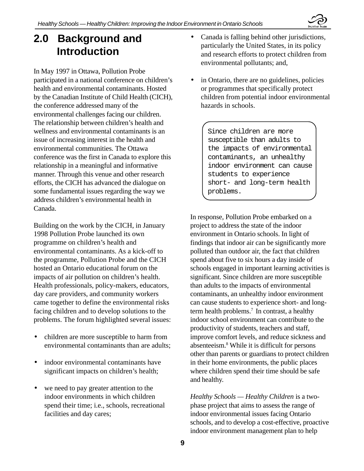

# **2.0 Background and Introduction**

In May 1997 in Ottawa, Pollution Probe participated in a national conference on children's health and environmental contaminants. Hosted by the Canadian Institute of Child Health (CICH), the conference addressed many of the environmental challenges facing our children. The relationship between children's health and wellness and environmental contaminants is an issue of increasing interest in the health and environmental communities. The Ottawa conference was the first in Canada to explore this relationship in a meaningful and informative manner. Through this venue and other research efforts, the CICH has advanced the dialogue on some fundamental issues regarding the way we address children's environmental health in Canada.

Building on the work by the CICH, in January 1998 Pollution Probe launched its own programme on children's health and environmental contaminants. As a kick-off to the programme, Pollution Probe and the CICH hosted an Ontario educational forum on the impacts of air pollution on children's health. Health professionals, policy-makers, educators, day care providers, and community workers came together to define the environmental risks facing children and to develop solutions to the problems. The forum highlighted several issues:

- children are more susceptible to harm from environmental contaminants than are adults;
- indoor environmental contaminants have significant impacts on children's health;
- we need to pay greater attention to the indoor environments in which children spend their time; i.e., schools, recreational facilities and day cares;
- Canada is falling behind other jurisdictions, particularly the United States, in its policy and research efforts to protect children from environmental pollutants; and,
- in Ontario, there are no guidelines, policies or programmes that specifically protect children from potential indoor environmental hazards in schools.

Since children are more susceptible than adults to the impacts of environmental contaminants, an unhealthy indoor environment can cause students to experience short- and long-term health problems.

In response, Pollution Probe embarked on a project to address the state of the indoor environment in Ontario schools. In light of findings that indoor air can be significantly more polluted than outdoor air, the fact that children spend about five to six hours a day inside of schools engaged in important learning activities is significant. Since children are more susceptible than adults to the impacts of environmental contaminants, an unhealthy indoor environment can cause students to experience short- and longterm health problems.7 In contrast, a healthy indoor school environment can contribute to the productivity of students, teachers and staff, improve comfort levels, and reduce sickness and absenteeism.8 While it is difficult for persons other than parents or guardians to protect children in their home environments, the public places where children spend their time should be safe and healthy.

*Healthy Schools — Healthy Children* is a twophase project that aims to assess the range of indoor environmental issues facing Ontario schools, and to develop a cost-effective, proactive indoor environment management plan to help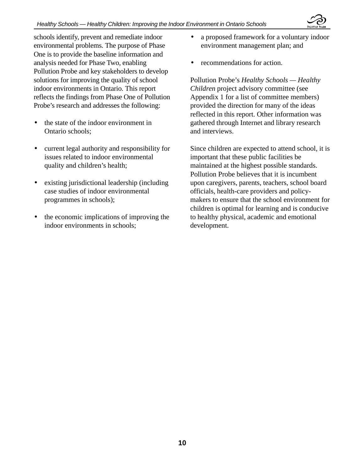

<span id="page-9-0"></span>schools identify, prevent and remediate indoor environmental problems. The purpose of Phase One is to provide the baseline information and analysis needed for Phase Two, enabling Pollution Probe and key stakeholders to develop solutions for improving the quality of school indoor environments in Ontario. This report reflects the findings from Phase One of Pollution Probe's research and addresses the following:

- the state of the indoor environment in Ontario schools;
- current legal authority and responsibility for issues related to indoor environmental quality and children's health;
- existing jurisdictional leadership (including case studies of indoor environmental programmes in schools);
- the economic implications of improving the indoor environments in schools;
- a proposed framework for a voluntary indoor environment management plan; and
- recommendations for action.

Pollution Probe's *Healthy Schools — Healthy Children* project advisory committee (see Appendix 1 for a list of committee members) provided the direction for many of the ideas reflected in this report. Other information was gathered through Internet and library research and interviews.

Since children are expected to attend school, it is important that these public facilities be maintained at the highest possible standards. Pollution Probe believes that it is incumbent upon caregivers, parents, teachers, school board officials, health-care providers and policymakers to ensure that the school environment for children is optimal for learning and is conducive to healthy physical, academic and emotional development.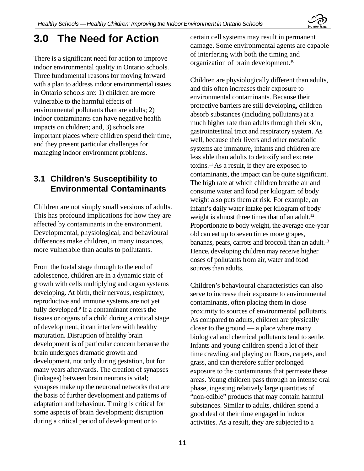

# <span id="page-10-0"></span>**3.0 The Need for Action**

There is a significant need for action to improve indoor environmental quality in Ontario schools. Three fundamental reasons for moving forward with a plan to address indoor environmental issues in Ontario schools are: 1) children are more vulnerable to the harmful effects of environmental pollutants than are adults; 2) indoor contaminants can have negative health impacts on children; and, 3) schools are important places where children spend their time, and they present particular challenges for managing indoor environment problems.

# **3.1 Children's Susceptibility to Environmental Contaminants**

Children are not simply small versions of adults. This has profound implications for how they are affected by contaminants in the environment. Developmental, physiological, and behavioural differences make children, in many instances, more vulnerable than adults to pollutants.

From the foetal stage through to the end of adolescence, children are in a dynamic state of growth with cells multiplying and organ systems developing. At birth, their nervous, respiratory, reproductive and immune systems are not yet fully developed.<sup>9</sup> If a contaminant enters the tissues or organs of a child during a critical stage of development, it can interfere with healthy maturation. Disruption of healthy brain development is of particular concern because the brain undergoes dramatic growth and development, not only during gestation, but for many years afterwards. The creation of synapses (linkages) between brain neurons is vital; synapses make up the neuronal networks that are the basis of further development and patterns of adaptation and behaviour. Timing is critical for some aspects of brain development; disruption during a critical period of development or to

certain cell systems may result in permanent damage. Some environmental agents are capable of interfering with both the timing and organization of brain development.<sup>10</sup>

Children are physiologically different than adults, and this often increases their exposure to environmental contaminants. Because their protective barriers are still developing, children absorb substances (including pollutants) at a much higher rate than adults through their skin, gastrointestinal tract and respiratory system. As well, because their livers and other metabolic systems are immature, infants and children are less able than adults to detoxify and excrete toxins.11 As a result, if they are exposed to contaminants, the impact can be quite significant. The high rate at which children breathe air and consume water and food per kilogram of body weight also puts them at risk. For example, an infant's daily water intake per kilogram of body weight is almost three times that of an adult.<sup>12</sup> Proportionate to body weight, the average one-year old can eat up to seven times more grapes, bananas, pears, carrots and broccoli than an adult.<sup>13</sup> Hence, developing children may receive higher doses of pollutants from air, water and food sources than adults.

Children's behavioural characteristics can also serve to increase their exposure to environmental contaminants, often placing them in close proximity to sources of environmental pollutants. As compared to adults, children are physically closer to the ground — a place where many biological and chemical pollutants tend to settle. Infants and young children spend a lot of their time crawling and playing on floors, carpets, and grass, and can therefore suffer prolonged exposure to the contaminants that permeate these areas. Young children pass through an intense oral phase, ingesting relatively large quantities of "non-edible" products that may contain harmful substances. Similar to adults, children spend a good deal of their time engaged in indoor activities. As a result, they are subjected to a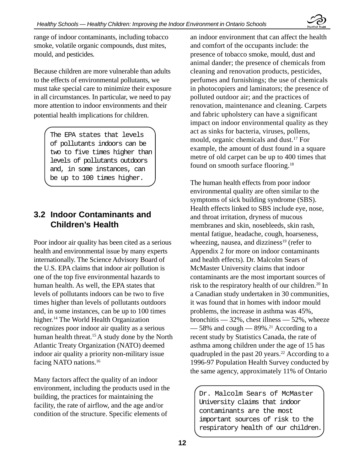range of indoor contaminants, including tobacco smoke, volatile organic compounds, dust mites, mould, and pesticides.

Because children are more vulnerable than adults to the effects of environmental pollutants, we must take special care to minimize their exposure in all circumstances. In particular, we need to pay more attention to indoor environments and their potential health implications for children.

> The EPA states that levels of pollutants indoors can be two to five times higher than levels of pollutants outdoors and, in some instances, can be up to 100 times higher.

# **3.2 Indoor Contaminants and Children's Health**

Poor indoor air quality has been cited as a serious health and environmental issue by many experts internationally. The Science Advisory Board of the U.S. EPA claims that indoor air pollution is one of the top five environmental hazards to human health. As well, the EPA states that levels of pollutants indoors can be two to five times higher than levels of pollutants outdoors and, in some instances, can be up to 100 times higher.<sup>14</sup> The World Health Organization recognizes poor indoor air quality as a serious human health threat.<sup>15</sup> A study done by the North Atlantic Treaty Organization (NATO) deemed indoor air quality a priority non-military issue facing NATO nations.<sup>16</sup>

Many factors affect the quality of an indoor environment, including the products used in the building, the practices for maintaining the facility, the rate of airflow, and the age and/or condition of the structure. Specific elements of

an indoor environment that can affect the health and comfort of the occupants include: the presence of tobacco smoke, mould, dust and animal dander; the presence of chemicals from cleaning and renovation products, pesticides, perfumes and furnishings; the use of chemicals in photocopiers and laminators; the presence of polluted outdoor air; and the practices of renovation, maintenance and cleaning. Carpets and fabric upholstery can have a significant impact on indoor environmental quality as they act as sinks for bacteria, viruses, pollens, mould, organic chemicals and dust.17 For example, the amount of dust found in a square metre of old carpet can be up to 400 times that found on smooth surface flooring.18

The human health effects from poor indoor environmental quality are often similar to the symptoms of sick building syndrome (SBS). Health effects linked to SBS include eye, nose, and throat irritation, dryness of mucous membranes and skin, nosebleeds, skin rash, mental fatigue, headache, cough, hoarseness, wheezing, nausea, and dizziness<sup>19</sup> (refer to Appendix 2 for more on indoor contaminants and health effects). Dr. Malcolm Sears of McMaster University claims that indoor contaminants are the most important sources of risk to the respiratory health of our children.20 In a Canadian study undertaken in 30 communities, it was found that in homes with indoor mould problems, the increase in asthma was 45%, bronchitis  $-32\%$ , chest illness  $-52\%$ , wheeze — 58% and cough — 89%.21 According to a recent study by Statistics Canada, the rate of asthma among children under the age of 15 has quadrupled in the past  $20$  years.<sup>22</sup> According to a 1996-97 Population Health Survey conducted by the same agency, approximately 11% of Ontario

Dr. Malcolm Sears of McMaster University claims that indoor contaminants are the most important sources of risk to the respiratory health of our children.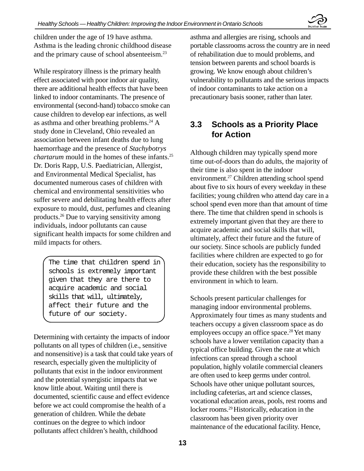

<span id="page-12-0"></span>children under the age of 19 have asthma. Asthma is the leading chronic childhood disease and the primary cause of school absenteeism.23

While respiratory illness is the primary health effect associated with poor indoor air quality, there are additional health effects that have been linked to indoor contaminants. The presence of environmental (second-hand) tobacco smoke can cause children to develop ear infections, as well as asthma and other breathing problems.<sup>24</sup> A study done in Cleveland, Ohio revealed an association between infant deaths due to lung haemorrhage and the presence of *Stachybotrys chartarum* mould in the homes of these infants.<sup>25</sup> Dr. Doris Rapp, U.S. Paediatrician, Allergist, and Environmental Medical Specialist, has documented numerous cases of children with chemical and environmental sensitivities who suffer severe and debilitating health effects after exposure to mould, dust, perfumes and cleaning products.26 Due to varying sensitivity among individuals, indoor pollutants can cause significant health impacts for some children and mild impacts for others.

> The time that children spend in schools is extremely important given that they are there to acquire academic and social skills that will, ultimately, affect their future and the future of our society.

Determining with certainty the impacts of indoor pollutants on all types of children (i.e., sensitive and nonsensitive) is a task that could take years of research, especially given the multiplicity of pollutants that exist in the indoor environment and the potential synergistic impacts that we know little about. Waiting until there is documented, scientific cause and effect evidence before we act could compromise the health of a generation of children. While the debate continues on the degree to which indoor pollutants affect children's health, childhood

asthma and allergies are rising, schools and portable classrooms across the country are in need of rehabilitation due to mould problems, and tension between parents and school boards is growing. We know enough about children's vulnerability to pollutants and the serious impacts of indoor contaminants to take action on a precautionary basis sooner, rather than later.

### **3.3 Schools as a Priority Place for Action**

Although children may typically spend more time out-of-doors than do adults, the majority of their time is also spent in the indoor environment.<sup>27</sup> Children attending school spend about five to six hours of every weekday in these facilities; young children who attend day care in a school spend even more than that amount of time there. The time that children spend in schools is extremely important given that they are there to acquire academic and social skills that will, ultimately, affect their future and the future of our society. Since schools are publicly funded facilities where children are expected to go for their education, society has the responsibility to provide these children with the best possible environment in which to learn.

Schools present particular challenges for managing indoor environmental problems. Approximately four times as many students and teachers occupy a given classroom space as do employees occupy an office space.<sup>28</sup> Yet many schools have a lower ventilation capacity than a typical office building. Given the rate at which infections can spread through a school population, highly volatile commercial cleaners are often used to keep germs under control. Schools have other unique pollutant sources, including cafeterias, art and science classes, vocational education areas, pools, rest rooms and locker rooms.<sup>29</sup> Historically, education in the classroom has been given priority over maintenance of the educational facility. Hence,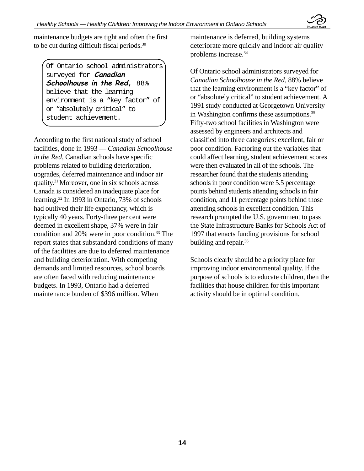

<span id="page-13-0"></span>maintenance budgets are tight and often the first to be cut during difficult fiscal periods.<sup>30</sup>

Of Ontario school administrators surveyed for **Canadian Schoolhouse in the Red**, 88% believe that the learning environment is a "key factor" of or "absolutely critical" to student achievement.

According to the first national study of school facilities, done in 1993 — *Canadian Schoolhouse in the Red*, Canadian schools have specific problems related to building deterioration, upgrades, deferred maintenance and indoor air quality.31 Moreover, one in six schools across Canada is considered an inadequate place for learning.32 In 1993 in Ontario, 73% of schools had outlived their life expectancy, which is typically 40 years. Forty-three per cent were deemed in excellent shape, 37% were in fair condition and 20% were in poor condition.<sup>33</sup> The report states that substandard conditions of many of the facilities are due to deferred maintenance and building deterioration. With competing demands and limited resources, school boards are often faced with reducing maintenance budgets. In 1993, Ontario had a deferred maintenance burden of \$396 million. When

maintenance is deferred, building systems deteriorate more quickly and indoor air quality problems increase.34

Of Ontario school administrators surveyed for *Canadian Schoolhouse in the Red*, 88% believe that the learning environment is a "key factor" of or "absolutely critical" to student achievement. A 1991 study conducted at Georgetown University in Washington confirms these assumptions.<sup>35</sup> Fifty-two school facilities in Washington were assessed by engineers and architects and classified into three categories: excellent, fair or poor condition. Factoring out the variables that could affect learning, student achievement scores were then evaluated in all of the schools. The researcher found that the students attending schools in poor condition were 5.5 percentage points behind students attending schools in fair condition, and 11 percentage points behind those attending schools in excellent condition. This research prompted the U.S. government to pass the State Infrastructure Banks for Schools Act of 1997 that enacts funding provisions for school building and repair.<sup>36</sup>

Schools clearly should be a priority place for improving indoor environmental quality. If the purpose of schools is to educate children, then the facilities that house children for this important activity should be in optimal condition.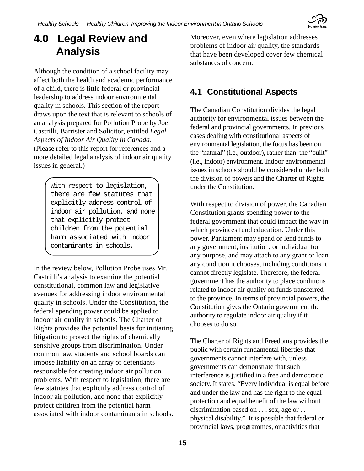

# <span id="page-14-0"></span>**4.0 Legal Review and Analysis**

Although the condition of a school facility may affect both the health and academic performance of a child, there is little federal or provincial leadership to address indoor environmental quality in schools. This section of the report draws upon the text that is relevant to schools of an analysis prepared for Pollution Probe by Joe Castrilli, Barrister and Solicitor, entitled *Legal Aspects of Indoor Air Quality in Canada*. (Please refer to this report for references and a more detailed legal analysis of indoor air quality issues in general.)

> With respect to legislation, there are few statutes that explicitly address control of indoor air pollution, and none that explicitly protect children from the potential harm associated with indoor contaminants in schools.

In the review below, Pollution Probe uses Mr. Castrilli's analysis to examine the potential constitutional, common law and legislative avenues for addressing indoor environmental quality in schools. Under the Constitution, the federal spending power could be applied to indoor air quality in schools. The Charter of Rights provides the potential basis for initiating litigation to protect the rights of chemically sensitive groups from discrimination. Under common law, students and school boards can impose liability on an array of defendants responsible for creating indoor air pollution problems. With respect to legislation, there are few statutes that explicitly address control of indoor air pollution, and none that explicitly protect children from the potential harm associated with indoor contaminants in schools. Moreover, even where legislation addresses problems of indoor air quality, the standards that have been developed cover few chemical substances of concern.

# **4.1 Constitutional Aspects**

The Canadian Constitution divides the legal authority for environmental issues between the federal and provincial governments. In previous cases dealing with constitutional aspects of environmental legislation, the focus has been on the "natural" (i.e., outdoor), rather than the "built" (i.e., indoor) environment. Indoor environmental issues in schools should be considered under both the division of powers and the Charter of Rights under the Constitution.

With respect to division of power, the Canadian Constitution grants spending power to the federal government that could impact the way in which provinces fund education. Under this power, Parliament may spend or lend funds to any government, institution, or individual for any purpose, and may attach to any grant or loan any condition it chooses, including conditions it cannot directly legislate. Therefore, the federal government has the authority to place conditions related to indoor air quality on funds transferred to the province. In terms of provincial powers, the Constitution gives the Ontario government the authority to regulate indoor air quality if it chooses to do so.

The Charter of Rights and Freedoms provides the public with certain fundamental liberties that governments cannot interfere with, unless governments can demonstrate that such interference is justified in a free and democratic society. It states, "Every individual is equal before and under the law and has the right to the equal protection and equal benefit of the law without discrimination based on . . . sex, age or . . . physical disability."It is possible that federal or provincial laws, programmes, or activities that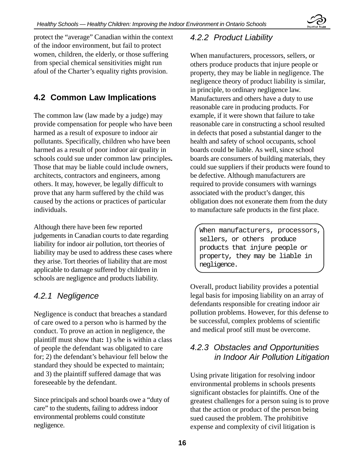

<span id="page-15-0"></span>protect the "average" Canadian within the context of the indoor environment, but fail to protect women, children, the elderly, or those suffering from special chemical sensitivities might run afoul of the Charter's equality rights provision.

# **4.2 Common Law Implications**

The common law (law made by a judge) may provide compensation for people who have been harmed as a result of exposure to indoor air pollutants. Specifically, children who have been harmed as a result of poor indoor air quality in schools could sue under common law principles**.** Those that may be liable could include owners, architects, contractors and engineers, among others. It may, however, be legally difficult to prove that any harm suffered by the child was caused by the actions or practices of particular individuals.

Although there have been few reported judgements in Canadian courts to date regarding liability for indoor air pollution, tort theories of liability may be used to address these cases where they arise. Tort theories of liability that are most applicable to damage suffered by children in schools are negligence and products liability.

# 4.2.1 Negligence

Negligence is conduct that breaches a standard of care owed to a person who is harmed by the conduct. To prove an action in negligence, the plaintiff must show that**:** 1) s/he is within a class of people the defendant was obligated to care for; 2) the defendant's behaviour fell below the standard they should be expected to maintain; and 3) the plaintiff suffered damage that was foreseeable by the defendant.

Since principals and school boards owe a "duty of care" to the students, failing to address indoor environmental problems could constitute negligence.

#### 4.2.2 Product Liability

When manufacturers, processors, sellers, or others produce products that injure people or property, they may be liable in negligence. The negligence theory of product liability is similar, in principle, to ordinary negligence law. Manufacturers and others have a duty to use reasonable care in producing products. For example, if it were shown that failure to take reasonable care in constructing a school resulted in defects that posed a substantial danger to the health and safety of school occupants, school boards could be liable. As well, since school boards are consumers of building materials, they could sue suppliers if their products were found to be defective. Although manufacturers are required to provide consumers with warnings associated with the product's danger, this obligation does not exonerate them from the duty to manufacture safe products in the first place.

When manufacturers, processors, sellers, or others produce products that injure people or property, they may be liable in negligence.

Overall, product liability provides a potential legal basis for imposing liability on an array of defendants responsible for creating indoor air pollution problems. However, for this defense to be successful, complex problems of scientific and medical proof still must be overcome.

# 4.2.3 Obstacles and Opportunities in Indoor Air Pollution Litigation

Using private litigation for resolving indoor environmental problems in schools presents significant obstacles for plaintiffs. One of the greatest challenges for a person suing is to prove that the action or product of the person being sued caused the problem. The prohibitive expense and complexity of civil litigation is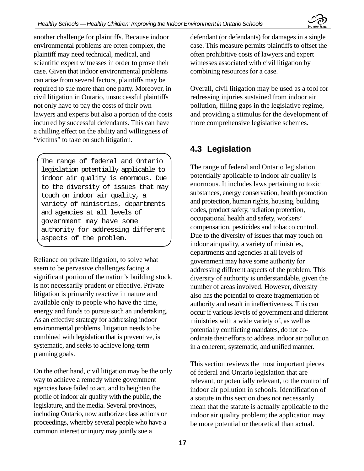

<span id="page-16-0"></span>another challenge for plaintiffs. Because indoor environmental problems are often complex, the plaintiff may need technical, medical, and scientific expert witnesses in order to prove their case. Given that indoor environmental problems can arise from several factors, plaintiffs may be required to sue more than one party. Moreover, in civil litigation in Ontario, unsuccessful plaintiffs not only have to pay the costs of their own lawyers and experts but also a portion of the costs incurred by successful defendants. This can have a chilling effect on the ability and willingness of "victims" to take on such litigation.

The range of federal and Ontario legislation potentially applicable to indoor air quality is enormous. Due to the diversity of issues that may touch on indoor air quality, a variety of ministries, departments and agencies at all levels of government may have some authority for addressing different aspects of the problem.

Reliance on private litigation, to solve what seem to be pervasive challenges facing a significant portion of the nation's building stock, is not necessarily prudent or effective. Private litigation is primarily reactive in nature and available only to people who have the time, energy and funds to pursue such an undertaking. As an effective strategy for addressing indoor environmental problems, litigation needs to be combined with legislation that is preventive, is systematic, and seeks to achieve long-term planning goals.

On the other hand, civil litigation may be the only way to achieve a remedy where government agencies have failed to act, and to heighten the profile of indoor air quality with the public, the legislature, and the media. Several provinces, including Ontario, now authorize class actions or proceedings, whereby several people who have a common interest or injury may jointly sue a

defendant (or defendants) for damages in a single case. This measure permits plaintiffs to offset the often prohibitive costs of lawyers and expert witnesses associated with civil litigation by combining resources for a case.

Overall, civil litigation may be used as a tool for redressing injuries sustained from indoor air pollution, filling gaps in the legislative regime, and providing a stimulus for the development of more comprehensive legislative schemes.

# **4.3 Legislation**

The range of federal and Ontario legislation potentially applicable to indoor air quality is enormous. It includes laws pertaining to toxic substances, energy conservation, health promotion and protection, human rights, housing, building codes, product safety, radiation protection, occupational health and safety, workers' compensation, pesticides and tobacco control. Due to the diversity of issues that may touch on indoor air quality, a variety of ministries, departments and agencies at all levels of government may have some authority for addressing different aspects of the problem. This diversity of authority is understandable, given the number of areas involved. However, diversity also has the potential to create fragmentation of authority and result in ineffectiveness. This can occur if various levels of government and different ministries with a wide variety of, as well as potentially conflicting mandates, do not coordinate their efforts to address indoor air pollution in a coherent, systematic, and unified manner.

This section reviews the most important pieces of federal and Ontario legislation that are relevant, or potentially relevant, to the control of indoor air pollution in schools. Identification of a statute in this section does not necessarily mean that the statute is actually applicable to the indoor air quality problem; the application may be more potential or theoretical than actual.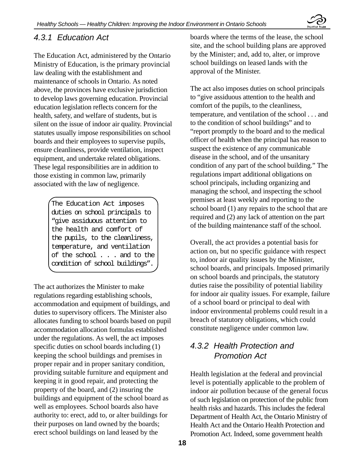### <span id="page-17-0"></span>4.3.1 Education Act

The Education Act, administered by the Ontario Ministry of Education, is the primary provincial law dealing with the establishment and maintenance of schools in Ontario. As noted above, the provinces have exclusive jurisdiction to develop laws governing education. Provincial education legislation reflects concern for the health, safety, and welfare of students, but is silent on the issue of indoor air quality. Provincial statutes usually impose responsibilities on school boards and their employees to supervise pupils, ensure cleanliness, provide ventilation, inspect equipment, and undertake related obligations. These legal responsibilities are in addition to those existing in common law, primarily associated with the law of negligence.

> The Education Act imposes duties on school principals to "give assiduous attention to the health and comfort of the pupils, to the cleanliness, temperature, and ventilation of the school . . . and to the condition of school buildings".

The act authorizes the Minister to make regulations regarding establishing schools, accommodation and equipment of buildings, and duties to supervisory officers. The Minister also allocates funding to school boards based on pupil accommodation allocation formulas established under the regulations. As well, the act imposes specific duties on school boards including (1) keeping the school buildings and premises in proper repair and in proper sanitary condition, providing suitable furniture and equipment and keeping it in good repair, and protecting the property of the board, and (2) insuring the buildings and equipment of the school board as well as employees. School boards also have authority to: erect, add to, or alter buildings for their purposes on land owned by the boards; erect school buildings on land leased by the

boards where the terms of the lease, the school site, and the school building plans are approved by the Minister; and, add to, alter, or improve school buildings on leased lands with the approval of the Minister.

The act also imposes duties on school principals to "give assiduous attention to the health and comfort of the pupils, to the cleanliness, temperature, and ventilation of the school . . . and to the condition of school buildings" and to "report promptly to the board and to the medical officer of health when the principal has reason to suspect the existence of any communicable disease in the school, and of the unsanitary condition of any part of the school building." The regulations impart additional obligations on school principals, including organizing and managing the school, and inspecting the school premises at least weekly and reporting to the school board (1) any repairs to the school that are required and (2) any lack of attention on the part of the building maintenance staff of the school.

Overall, the act provides a potential basis for action on, but no specific guidance with respect to, indoor air quality issues by the Minister, school boards, and principals. Imposed primarily on school boards and principals, the statutory duties raise the possibility of potential liability for indoor air quality issues. For example, failure of a school board or principal to deal with indoor environmental problems could result in a breach of statutory obligations, which could constitute negligence under common law.

# 4.3.2 Health Protection and Promotion Act

Health legislation at the federal and provincial level is potentially applicable to the problem of indoor air pollution because of the general focus of such legislation on protection of the public from health risks and hazards. This includes the federal Department of Health Act, the Ontario Ministry of Health Act and the Ontario Health Protection and Promotion Act. Indeed, some government health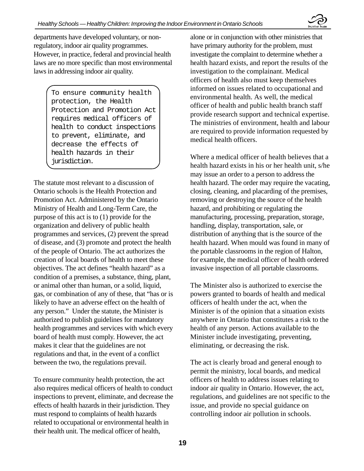<span id="page-18-0"></span>departments have developed voluntary, or nonregulatory, indoor air quality programmes. However, in practice, federal and provincial health laws are no more specific than most environmental laws in addressing indoor air quality.

> To ensure community health protection, the Health Protection and Promotion Act requires medical officers of health to conduct inspections to prevent, eliminate, and decrease the effects of health hazards in their jurisdiction.

The statute most relevant to a discussion of Ontario schools is the Health Protection and Promotion Act. Administered by the Ontario Ministry of Health and Long-Term Care, the purpose of this act is to (1) provide for the organization and delivery of public health programmes and services, (2) prevent the spread of disease, and (3) promote and protect the health of the people of Ontario. The act authorizes the creation of local boards of health to meet these objectives. The act defines "health hazard" as a condition of a premises, a substance, thing, plant, or animal other than human, or a solid, liquid, gas, or combination of any of these, that "has or is likely to have an adverse effect on the health of any person." Under the statute, the Minister is authorized to publish guidelines for mandatory health programmes and services with which every board of health must comply. However, the act makes it clear that the guidelines are not regulations and that, in the event of a conflict between the two, the regulations prevail.

To ensure community health protection, the act also requires medical officers of health to conduct inspections to prevent, eliminate, and decrease the effects of health hazards in their jurisdiction. They must respond to complaints of health hazards related to occupational or environmental health in their health unit. The medical officer of health,

alone or in conjunction with other ministries that have primary authority for the problem, must investigate the complaint to determine whether a health hazard exists, and report the results of the investigation to the complainant. Medical officers of health also must keep themselves informed on issues related to occupational and environmental health. As well, the medical officer of health and public health branch staff provide research support and technical expertise. The ministries of environment, health and labour are required to provide information requested by medical health officers.

Where a medical officer of health believes that a health hazard exists in his or her health unit, s/he may issue an order to a person to address the health hazard. The order may require the vacating, closing, cleaning, and placarding of the premises, removing or destroying the source of the health hazard, and prohibiting or regulating the manufacturing, processing, preparation, storage, handling, display, transportation, sale, or distribution of anything that is the source of the health hazard. When mould was found in many of the portable classrooms in the region of Halton, for example, the medical officer of health ordered invasive inspection of all portable classrooms.

The Minister also is authorized to exercise the powers granted to boards of health and medical officers of health under the act, when the Minister is of the opinion that a situation exists anywhere in Ontario that constitutes a risk to the health of any person. Actions available to the Minister include investigating, preventing, eliminating, or decreasing the risk.

The act is clearly broad and general enough to permit the ministry, local boards, and medical officers of health to address issues relating to indoor air quality in Ontario. However, the act, regulations, and guidelines are not specific to the issue, and provide no special guidance on controlling indoor air pollution in schools.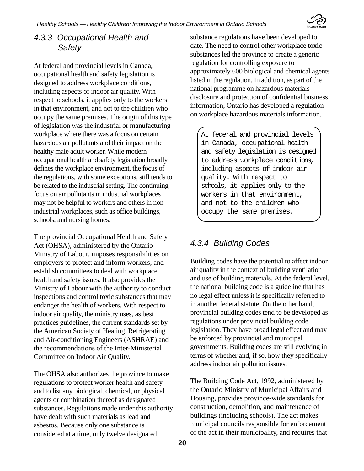### 4.3.3 Occupational Health and **Safety**

At federal and provincial levels in Canada, occupational health and safety legislation is designed to address workplace conditions, including aspects of indoor air quality. With respect to schools, it applies only to the workers in that environment, and not to the children who occupy the same premises. The origin of this type of legislation was the industrial or manufacturing workplace where there was a focus on certain hazardous air pollutants and their impact on the healthy male adult worker. While modern occupational health and safety legislation broadly defines the workplace environment, the focus of the regulations, with some exceptions, still tends to be related to the industrial setting. The continuing focus on air pollutants in industrial workplaces may not be helpful to workers and others in nonindustrial workplaces, such as office buildings, schools, and nursing homes.

The provincial Occupational Health and Safety Act (OHSA), administered by the Ontario Ministry of Labour, imposes responsibilities on employers to protect and inform workers, and establish committees to deal with workplace health and safety issues. It also provides the Ministry of Labour with the authority to conduct inspections and control toxic substances that may endanger the health of workers. With respect to indoor air quality, the ministry uses, as best practices guidelines, the current standards set by the American Society of Heating, Refrigerating and Air-conditioning Engineers (ASHRAE) and the recommendations of the Inter-Ministerial Committee on Indoor Air Quality.

The OHSA also authorizes the province to make regulations to protect worker health and safety and to list any biological, chemical, or physical agents or combination thereof as designated substances. Regulations made under this authority have dealt with such materials as lead and asbestos. Because only one substance is considered at a time, only twelve designated

substance regulations have been developed to date. The need to control other workplace toxic substances led the province to create a generic regulation for controlling exposure to approximately 600 biological and chemical agents listed in the regulation. In addition, as part of the national programme on hazardous materials disclosure and protection of confidential business information, Ontario has developed a regulation on workplace hazardous materials information.

At federal and provincial levels in Canada, occupational health and safety legislation is designed to address workplace conditions, including aspects of indoor air quality. With respect to schools, it applies only to the workers in that environment, and not to the children who occupy the same premises.

# 4.3.4 Building Codes

Building codes have the potential to affect indoor air quality in the context of building ventilation and use of building materials. At the federal level, the national building code is a guideline that has no legal effect unless it is specifically referred to in another federal statute. On the other hand, provincial building codes tend to be developed as regulations under provincial building code legislation. They have broad legal effect and may be enforced by provincial and municipal governments. Building codes are still evolving in terms of whether and, if so, how they specifically address indoor air pollution issues.

The Building Code Act, 1992, administered by the Ontario Ministry of Municipal Affairs and Housing, provides province-wide standards for construction, demolition, and maintenance of buildings (including schools). The act makes municipal councils responsible for enforcement of the act in their municipality, and requires that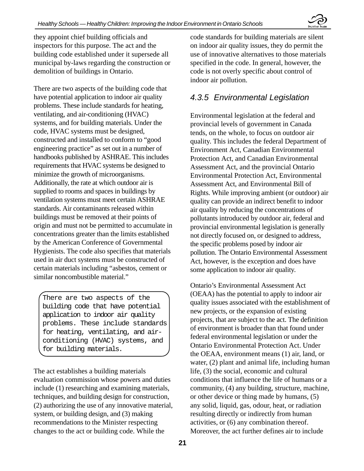<span id="page-20-0"></span>they appoint chief building officials and inspectors for this purpose. The act and the building code established under it supersede all municipal by-laws regarding the construction or demolition of buildings in Ontario.

There are two aspects of the building code that have potential application to indoor air quality problems. These include standards for heating, ventilating, and air-conditioning (HVAC) systems, and for building materials. Under the code, HVAC systems must be designed, constructed and installed to conform to "good engineering practice" as set out in a number of handbooks published by ASHRAE. This includes requirements that HVAC systems be designed to minimize the growth of microorganisms. Additionally, the rate at which outdoor air is supplied to rooms and spaces in buildings by ventilation systems must meet certain ASHRAE standards. Air contaminants released within buildings must be removed at their points of origin and must not be permitted to accumulate in concentrations greater than the limits established by the American Conference of Governmental Hygienists. The code also specifies that materials used in air duct systems must be constructed of certain materials including "asbestos, cement or similar noncombustible material."

There are two aspects of the building code that have potential application to indoor air quality problems. These include standards for heating, ventilating, and airconditioning (HVAC) systems, and for building materials.

The act establishes a building materials evaluation commission whose powers and duties include (1) researching and examining materials, techniques, and building design for construction, (2) authorizing the use of any innovative material, system, or building design, and (3) making recommendations to the Minister respecting changes to the act or building code. While the

code standards for building materials are silent on indoor air quality issues, they do permit the use of innovative alternatives to those materials specified in the code. In general, however, the code is not overly specific about control of indoor air pollution.

# 4.3.5 Environmental Legislation

Environmental legislation at the federal and provincial levels of government in Canada tends, on the whole, to focus on outdoor air quality. This includes the federal Department of Environment Act, Canadian Environmental Protection Act, and Canadian Environmental Assessment Act, and the provincial Ontario Environmental Protection Act, Environmental Assessment Act, and Environmental Bill of Rights. While improving ambient (or outdoor) air quality can provide an indirect benefit to indoor air quality by reducing the concentrations of pollutants introduced by outdoor air, federal and provincial environmental legislation is generally not directly focused on, or designed to address, the specific problems posed by indoor air pollution. The Ontario Environmental Assessment Act, however, is the exception and does have some application to indoor air quality.

Ontario's Environmental Assessment Act (OEAA) has the potential to apply to indoor air quality issues associated with the establishment of new projects, or the expansion of existing projects, that are subject to the act. The definition of environment is broader than that found under federal environmental legislation or under the Ontario Environmental Protection Act. Under the OEAA, environment means (1) air, land, or water, (2) plant and animal life, including human life, (3) the social, economic and cultural conditions that influence the life of humans or a community, (4) any building, structure, machine, or other device or thing made by humans, (5) any solid, liquid, gas, odour, heat, or radiation resulting directly or indirectly from human activities, or (6) any combination thereof. Moreover, the act further defines air to include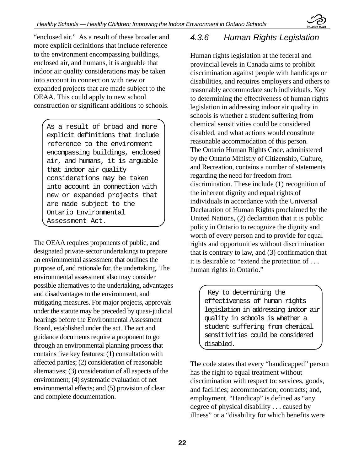

<span id="page-21-0"></span>"enclosed air." As a result of these broader and more explicit definitions that include reference to the environment encompassing buildings, enclosed air, and humans, it is arguable that indoor air quality considerations may be taken into account in connection with new or expanded projects that are made subject to the OEAA. This could apply to new school construction or significant additions to schools.

As a result of broad and more explicit definitions that include reference to the environment encompassing buildings, enclosed air, and humans, it is arguable that indoor air quality considerations may be taken into account in connection with new or expanded projects that are made subject to the Ontario Environmental Assessment Act.

The OEAA requires proponents of public, and designated private-sector undertakings to prepare an environmental assessment that outlines the purpose of, and rationale for, the undertaking. The environmental assessment also may consider possible alternatives to the undertaking, advantages and disadvantages to the environment, and mitigating measures. For major projects, approvals under the statute may be preceded by quasi-judicial hearings before the Environmental Assessment Board, established under the act. The act and guidance documents require a proponent to go through an environmental planning process that contains five key features: (1) consultation with affected parties; (2) consideration of reasonable alternatives; (3) consideration of all aspects of the environment; (4) systematic evaluation of net environmental effects; and (5) provision of clear and complete documentation.

### 4.3.6 Human Rights Legislation

Human rights legislation at the federal and provincial levels in Canada aims to prohibit discrimination against people with handicaps or disabilities, and requires employers and others to reasonably accommodate such individuals. Key to determining the effectiveness of human rights legislation in addressing indoor air quality in schools is whether a student suffering from chemical sensitivities could be considered disabled, and what actions would constitute reasonable accommodation of this person. The Ontario Human Rights Code, administered by the Ontario Ministry of Citizenship, Culture, and Recreation, contains a number of statements regarding the need for freedom from discrimination. These include (1) recognition of the inherent dignity and equal rights of individuals in accordance with the Universal Declaration of Human Rights proclaimed by the United Nations, (2) declaration that it is public policy in Ontario to recognize the dignity and worth of every person and to provide for equal rights and opportunities without discrimination that is contrary to law, and (3) confirmation that it is desirable to "extend the protection of . . . human rights in Ontario."

> Key to determining the effectiveness of human rights legislation in addressing indoor air quality in schools is whether a student suffering from chemical sensitivities could be considered disabled.

The code states that every "handicapped" person has the right to equal treatment without discrimination with respect to: services, goods, and facilities; accommodation; contracts; and, employment. "Handicap" is defined as "any degree of physical disability . . . caused by illness" or a "disability for which benefits were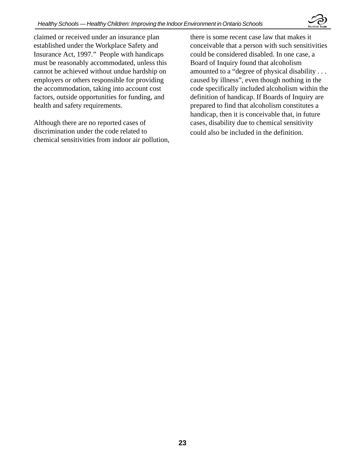<span id="page-22-0"></span>claimed or received under an insurance plan established under the Workplace Safety and Insurance Act, 1997*.*" People with handicaps must be reasonably accommodated, unless this cannot be achieved without undue hardship on employers or others responsible for providing the accommodation, taking into account cost factors, outside opportunities for funding, and health and safety requirements.

Although there are no reported cases of discrimination under the code related to chemical sensitivities from indoor air pollution, there is some recent case law that makes it conceivable that a person with such sensitivities could be considered disabled. In one case, a Board of Inquiry found that alcoholism amounted to a "degree of physical disability . . . caused by illness", even though nothing in the code specifically included alcoholism within the definition of handicap. If Boards of Inquiry are prepared to find that alcoholism constitutes a handicap, then it is conceivable that, in future cases, disability due to chemical sensitivity could also be included in the definition.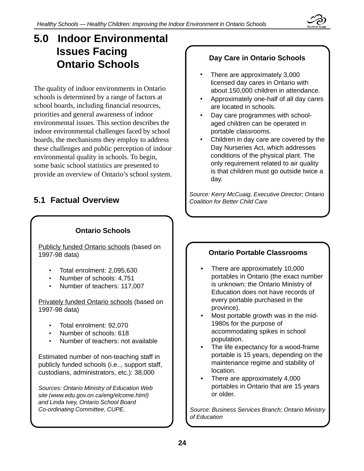

# **5.0 Indoor Environmental Issues Facing Ontario Schools**

The quality of indoor environments in Ontario schools is determined by a range of factors at school boards, including financial resources, priorities and general awareness of indoor environmental issues. This section describes the indoor environmental challenges faced by school boards, the mechanisms they employ to address these challenges and public perception of indoor environmental quality in schools. To begin, some basic school statistics are presented to provide an overview of Ontario's school system.

# **5.1 Factual Overview**

#### **Ontario Schools**

Publicly funded Ontario schools (based on 1997-98 data)

- Total enrolment: 2,095,630
- Number of schools: 4,751
- Number of teachers: 117,007

**Privately funded Ontario schools (based on** 1997-98 data)

- Total enrolment: 92,070
- Number of schools: 618
- Number of teachers: not available

Estimated number of non-teaching staff in publicly funded schools (i.e.., support staff, custodians, administrators, etc.): 38,000

Sources: Ontario Ministry of Education Web site (www.edu.gov.on.ca/eng/elcome.html) and Linda Ivey, Ontario School Board Co-ordinating Committee, CUPE.

#### **Day Care in Ontario Schools**

- There are approximately 3,000 licensed day cares in Ontario with about 150,000 children in attendance.
- Approximately one-half of all day cares are located in schools.
- Day care programmes with schoolaged children can be operated in portable classrooms.
- Children in day care are covered by the Day Nurseries Act, which addresses conditions of the physical plant. The only requirement related to air quality is that children must go outside twice a day.

Source: Kerry McCuaig, Executive Director; Ontario Coalition for Better Child Care

### **Ontario Portable Classrooms**

- There are approximately 10,000 portables in Ontario (the exact number is unknown; the Ontario Ministry of Education does not have records of every portable purchased in the province).
- Most portable growth was in the mid-1980s for the purpose of accommodating spikes in school population.
- The life expectancy for a wood-frame portable is 15 years, depending on the maintenance regime and stability of location.
- There are approximately 4,000 portables in Ontario that are 15 years or older.

Source: Business Services Branch; Ontario Ministry of Education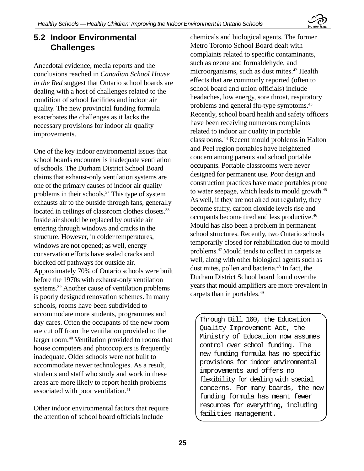#### **5.2 Indoor Environmental Challenges**

Anecdotal evidence, media reports and the conclusions reached in *Canadian School House in the Red* suggest that Ontario school boards are dealing with a host of challenges related to the condition of school facilities and indoor air quality. The new provincial funding formula exacerbates the challenges as it lacks the necessary provisions for indoor air quality improvements.

One of the key indoor environmental issues that school boards encounter is inadequate ventilation of schools. The Durham District School Board claims that exhaust-only ventilation systems are one of the primary causes of indoor air quality problems in their schools.37 This type of system exhausts air to the outside through fans, generally located in ceilings of classroom clothes closets.<sup>38</sup> Inside air should be replaced by outside air entering through windows and cracks in the structure. However, in colder temperatures, windows are not opened; as well, energy conservation efforts have sealed cracks and blocked off pathways for outside air. Approximately 70% of Ontario schools were built before the 1970s with exhaust-only ventilation systems.39 Another cause of ventilation problems is poorly designed renovation schemes. In many schools, rooms have been subdivided to accommodate more students, programmes and day cares. Often the occupants of the new room are cut off from the ventilation provided to the larger room.40 Ventilation provided to rooms that house computers and photocopiers is frequently inadequate. Older schools were not built to accommodate newer technologies. As a result, students and staff who study and work in these areas are more likely to report health problems associated with poor ventilation.<sup>41</sup>

Other indoor environmental factors that require the attention of school board officials include

chemicals and biological agents. The former Metro Toronto School Board dealt with complaints related to specific contaminants, such as ozone and formaldehyde, and microorganisms, such as dust mites.<sup>42</sup> Health effects that are commonly reported (often to school board and union officials) include headaches, low energy, sore throat, respiratory problems and general flu-type symptoms.<sup>43</sup> Recently, school board health and safety officers have been receiving numerous complaints related to indoor air quality in portable classrooms.44 Recent mould problems in Halton and Peel region portables have heightened concern among parents and school portable occupants. Portable classrooms were never designed for permanent use. Poor design and construction practices have made portables prone to water seepage, which leads to mould growth.45 As well, if they are not aired out regularly, they become stuffy, carbon dioxide levels rise and occupants become tired and less productive.46 Mould has also been a problem in permanent school structures. Recently, two Ontario schools temporarily closed for rehabilitation due to mould problems.47 Mould tends to collect in carpets as well, along with other biological agents such as dust mites, pollen and bacteria.<sup>48</sup> In fact, the Durham District School board found over the years that mould amplifiers are more prevalent in carpets than in portables.<sup>49</sup>

Through Bill 160, the Education Quality Improvement Act, the Ministry of Education now assumes control over school funding. The new funding formula has no specific provisions for indoor environmental improvements and offers no flexibility for dealing with special concerns. For many boards, the new funding formula has meant fewer resources for everything, including facilities management.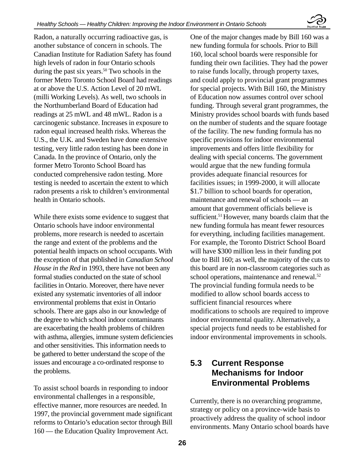<span id="page-25-0"></span>Radon, a naturally occurring radioactive gas, is another substance of concern in schools. The Canadian Institute for Radiation Safety has found high levels of radon in four Ontario schools during the past six years.<sup>50</sup> Two schools in the former Metro Toronto School Board had readings at or above the U.S. Action Level of 20 mWL (milli Working Levels). As well, two schools in the Northumberland Board of Education had readings at 25 mWL and 48 mWL. Radon is a carcinogenic substance. Increases in exposure to radon equal increased health risks. Whereas the U.S., the U.K. and Sweden have done extensive testing, very little radon testing has been done in Canada. In the province of Ontario, only the former Metro Toronto School Board has conducted comprehensive radon testing. More testing is needed to ascertain the extent to which radon presents a risk to children's environmental health in Ontario schools.

While there exists some evidence to suggest that Ontario schools have indoor environmental problems, more research is needed to ascertain the range and extent of the problems and the potential health impacts on school occupants. With the exception of that published in *Canadian School House in the Red* in 1993*,* there have not been any formal studies conducted on the state of school facilities in Ontario. Moreover, there have never existed any systematic inventories of all indoor environmental problems that exist in Ontario schools. There are gaps also in our knowledge of the degree to which school indoor contaminants are exacerbating the health problems of children with asthma, allergies, immune system deficiencies and other sensitivities. This information needs to be gathered to better understand the scope of the issues and encourage a co-ordinated response to the problems.

To assist school boards in responding to indoor environmental challenges in a responsible, effective manner, more resources are needed. In 1997, the provincial government made significant reforms to Ontario's education sector through Bill 160 — the Education Quality Improvement Act.

One of the major changes made by Bill 160 was a new funding formula for schools. Prior to Bill 160, local school boards were responsible for funding their own facilities. They had the power to raise funds locally, through property taxes, and could apply to provincial grant programmes for special projects. With Bill 160, the Ministry of Education now assumes control over school funding. Through several grant programmes, the Ministry provides school boards with funds based on the number of students and the square footage of the facility. The new funding formula has no specific provisions for indoor environmental improvements and offers little flexibility for dealing with special concerns. The government would argue that the new funding formula provides adequate financial resources for facilities issues; in 1999-2000, it will allocate \$1.7 billion to school boards for operation, maintenance and renewal of schools — an amount that government officials believe is sufficient.<sup>51</sup> However, many boards claim that the new funding formula has meant fewer resources for everything, including facilities management. For example, the Toronto District School Board will have \$300 million less in their funding pot due to Bill 160; as well, the majority of the cuts to this board are in non-classroom categories such as school operations, maintenance and renewal.<sup>52</sup> The provincial funding formula needs to be modified to allow school boards access to sufficient financial resources where modifications to schools are required to improve indoor environmental quality. Alternatively, a special projects fund needs to be established for indoor environmental improvements in schools.

### **5.3 Current Response Mechanisms for Indoor Environmental Problems**

Currently, there is no overarching programme, strategy or policy on a province-wide basis to proactively address the quality of school indoor environments. Many Ontario school boards have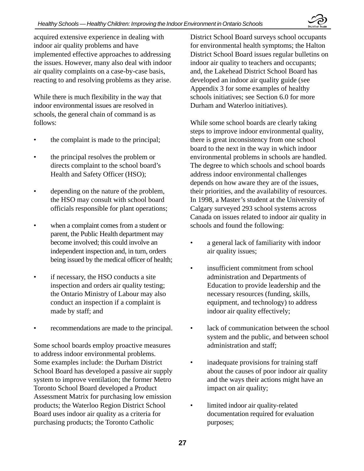

<span id="page-26-0"></span>acquired extensive experience in dealing with indoor air quality problems and have implemented effective approaches to addressing the issues. However, many also deal with indoor air quality complaints on a case-by-case basis, reacting to and resolving problems as they arise.

While there is much flexibility in the way that indoor environmental issues are resolved in schools, the general chain of command is as follows:

- the complaint is made to the principal;
- the principal resolves the problem or directs complaint to the school board's Health and Safety Officer (HSO);
- depending on the nature of the problem, the HSO may consult with school board officials responsible for plant operations;
- when a complaint comes from a student or parent, the Public Health department may become involved; this could involve an independent inspection and, in turn, orders being issued by the medical officer of health;
- if necessary, the HSO conducts a site inspection and orders air quality testing; the Ontario Ministry of Labour may also conduct an inspection if a complaint is made by staff; and
- recommendations are made to the principal.

Some school boards employ proactive measures to address indoor environmental problems. Some examples include: the Durham District School Board has developed a passive air supply system to improve ventilation; the former Metro Toronto School Board developed a Product Assessment Matrix for purchasing low emission products; the Waterloo Region District School Board uses indoor air quality as a criteria for purchasing products; the Toronto Catholic

District School Board surveys school occupants for environmental health symptoms; the Halton District School Board issues regular bulletins on indoor air quality to teachers and occupants; and, the Lakehead District School Board has developed an indoor air quality guide (see Appendix 3 for some examples of healthy schools initiatives; see Section 6.0 for more Durham and Waterloo initiatives).

While some school boards are clearly taking steps to improve indoor environmental quality, there is great inconsistency from one school board to the next in the way in which indoor environmental problems in schools are handled. The degree to which schools and school boards address indoor environmental challenges depends on how aware they are of the issues, their priorities, and the availability of resources. In 1998, a Master's student at the University of Calgary surveyed 293 school systems across Canada on issues related to indoor air quality in schools and found the following:

- a general lack of familiarity with indoor air quality issues;
- insufficient commitment from school administration and Departments of Education to provide leadership and the necessary resources (funding, skills, equipment, and technology) to address indoor air quality effectively;
- lack of communication between the school system and the public, and between school administration and staff;
- inadequate provisions for training staff about the causes of poor indoor air quality and the ways their actions might have an impact on air quality;
- limited indoor air quality-related documentation required for evaluation purposes;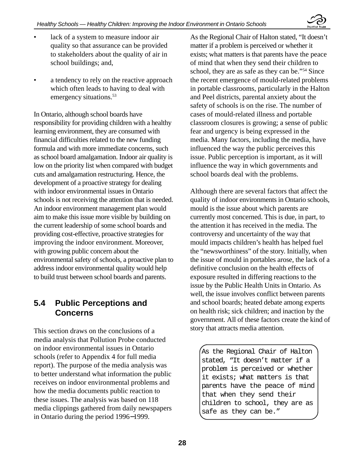- lack of a system to measure indoor air quality so that assurance can be provided to stakeholders about the quality of air in school buildings; and,
- a tendency to rely on the reactive approach which often leads to having to deal with emergency situations.<sup>53</sup>

In Ontario, although school boards have responsibility for providing children with a healthy learning environment, they are consumed with financial difficulties related to the new funding formula and with more immediate concerns, such as school board amalgamation. Indoor air quality is low on the priority list when compared with budget cuts and amalgamation restructuring. Hence, the development of a proactive strategy for dealing with indoor environmental issues in Ontario schools is not receiving the attention that is needed. An indoor environment management plan would aim to make this issue more visible by building on the current leadership of some school boards and providing cost-effective, proactive strategies for improving the indoor environment. Moreover, with growing public concern about the environmental safety of schools, a proactive plan to address indoor environmental quality would help to build trust between school boards and parents.

# **5.4 Public Perceptions and Concerns**

This section draws on the conclusions of a media analysis that Pollution Probe conducted on indoor environmental issues in Ontario schools (refer to Appendix 4 for full media report). The purpose of the media analysis was to better understand what information the public receives on indoor environmental problems and how the media documents public reaction to these issues. The analysis was based on 118 media clippings gathered from daily newspapers in Ontario during the period 1996−1999.

As the Regional Chair of Halton stated, "It doesn't matter if a problem is perceived or whether it exists; what matters is that parents have the peace of mind that when they send their children to school, they are as safe as they can be."54 Since the recent emergence of mould-related problems in portable classrooms, particularly in the Halton and Peel districts, parental anxiety about the safety of schools is on the rise. The number of cases of mould-related illness and portable classroom closures is growing; a sense of public fear and urgency is being expressed in the media. Many factors, including the media, have influenced the way the public perceives this issue. Public perception is important, as it will influence the way in which governments and school boards deal with the problems.

Although there are several factors that affect the quality of indoor environments in Ontario schools, mould is the issue about which parents are currently most concerned. This is due, in part, to the attention it has received in the media. The controversy and uncertainty of the way that mould impacts children's health has helped fuel the "newsworthiness" of the story. Initially, when the issue of mould in portables arose, the lack of a definitive conclusion on the health effects of exposure resulted in differing reactions to the issue by the Public Health Units in Ontario. As well, the issue involves conflict between parents and school boards; heated debate among experts on health risk; sick children; and inaction by the government. All of these factors create the kind of story that attracts media attention.

As the Regional Chair of Halton stated, "It doesn't matter if a problem is perceived or whether it exists; what matters is that parents have the peace of mind that when they send their children to school, they are as safe as they can be."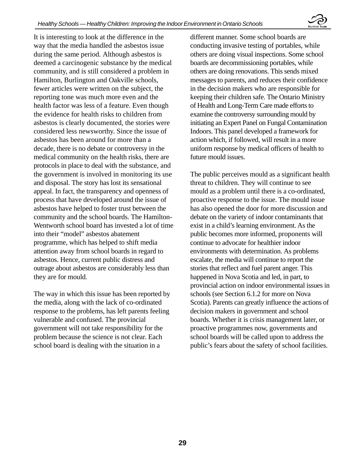<span id="page-28-0"></span>It is interesting to look at the difference in the way that the media handled the asbestos issue during the same period. Although asbestos is deemed a carcinogenic substance by the medical community, and is still considered a problem in Hamilton, Burlington and Oakville schools, fewer articles were written on the subject, the reporting tone was much more even and the health factor was less of a feature. Even though the evidence for health risks to children from asbestos is clearly documented, the stories were considered less newsworthy. Since the issue of asbestos has been around for more than a decade, there is no debate or controversy in the medical community on the health risks, there are protocols in place to deal with the substance, and the government is involved in monitoring its use and disposal. The story has lost its sensational appeal. In fact, the transparency and openness of process that have developed around the issue of asbestos have helped to foster trust between the community and the school boards. The Hamilton-Wentworth school board has invested a lot of time into their "model" asbestos abatement programme, which has helped to shift media attention away from school boards in regard to asbestos. Hence, current public distress and outrage about asbestos are considerably less than they are for mould.

The way in which this issue has been reported by the media, along with the lack of co-ordinated response to the problems, has left parents feeling vulnerable and confused. The provincial government will not take responsibility for the problem because the science is not clear. Each school board is dealing with the situation in a

different manner. Some school boards are conducting invasive testing of portables, while others are doing visual inspections. Some school boards are decommissioning portables, while others are doing renovations. This sends mixed messages to parents, and reduces their confidence in the decision makers who are responsible for keeping their children safe. The Ontario Ministry of Health and Long-Term Care made efforts to examine the controversy surrounding mould by initiating an Expert Panel on Fungal Contamination Indoors. This panel developed a framework for action which, if followed, will result in a more uniform response by medical officers of health to future mould issues.

The public perceives mould as a significant health threat to children. They will continue to see mould as a problem until there is a co-ordinated, proactive response to the issue. The mould issue has also opened the door for more discussion and debate on the variety of indoor contaminants that exist in a child's learning environment. As the public becomes more informed, proponents will continue to advocate for healthier indoor environments with determination. As problems escalate, the media will continue to report the stories that reflect and fuel parent anger. This happened in Nova Scotia and led, in part, to provincial action on indoor environmental issues in schools (see Section 6.1.2 for more on Nova Scotia). Parents can greatly influence the actions of decision makers in government and school boards. Whether it is crisis management later, or proactive programmes now, governments and school boards will be called upon to address the public's fears about the safety of school facilities.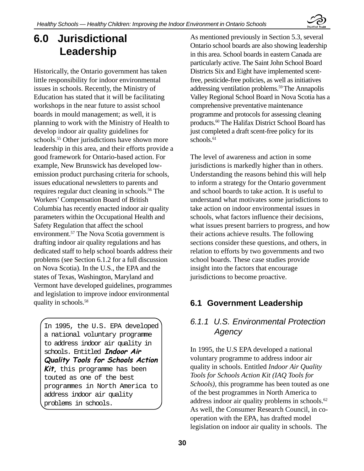

# <span id="page-29-0"></span>**6.0 Jurisdictional Leadership**

Historically, the Ontario government has taken little responsibility for indoor environmental issues in schools. Recently, the Ministry of Education has stated that it will be facilitating workshops in the near future to assist school boards in mould management; as well, it is planning to work with the Ministry of Health to develop indoor air quality guidelines for schools.<sup>55</sup> Other jurisdictions have shown more leadership in this area, and their efforts provide a good framework for Ontario-based action. For example, New Brunswick has developed lowemission product purchasing criteria for schools, issues educational newsletters to parents and requires regular duct cleaning in schools.<sup>56</sup> The Workers' Compensation Board of British Columbia has recently enacted indoor air quality parameters within the Occupational Health and Safety Regulation that affect the school environment.57 The Nova Scotia government is drafting indoor air quality regulations and has dedicated staff to help school boards address their problems (see Section 6.1.2 for a full discussion on Nova Scotia). In the U.S., the EPA and the states of Texas, Washington, Maryland and Vermont have developed guidelines, programmes and legislation to improve indoor environmental quality in schools.58

In 1995, the U.S. EPA developed a national voluntary programme to address indoor air quality in schools. Entitled **Indoor Air Quality Tools for Schools Action Kit,** this programme has been touted as one of the best programmes in North America to address indoor air quality problems in schools.

As mentioned previously in Section 5.3, several Ontario school boards are also showing leadership in this area. School boards in eastern Canada are particularly active. The Saint John School Board Districts Six and Eight have implemented scentfree, pesticide-free policies, as well as initiatives addressing ventilation problems.59 The Annapolis Valley Regional School Board in Nova Scotia has a comprehensive preventative maintenance programme and protocols for assessing cleaning products.60 The Halifax District School Board has just completed a draft scent-free policy for its schools.<sup>61</sup>

The level of awareness and action in some jurisdictions is markedly higher than in others. Understanding the reasons behind this will help to inform a strategy for the Ontario government and school boards to take action. It is useful to understand what motivates some jurisdictions to take action on indoor environmental issues in schools, what factors influence their decisions, what issues present barriers to progress, and how their actions achieve results. The following sections consider these questions, and others, in relation to efforts by two governments and two school boards. These case studies provide insight into the factors that encourage jurisdictions to become proactive.

# **6.1 Government Leadership**

# 6.1.1 U.S. Environmental Protection **Agency**

In 1995, the U.S EPA developed a national voluntary programme to address indoor air quality in schools. Entitled *Indoor Air Quality Tools for Schools Action Kit (IAQ Tools for Schools),* this programme has been touted as one of the best programmes in North America to address indoor air quality problems in schools.<sup>62</sup> As well, the Consumer Research Council, in cooperation with the EPA, has drafted model legislation on indoor air quality in schools. The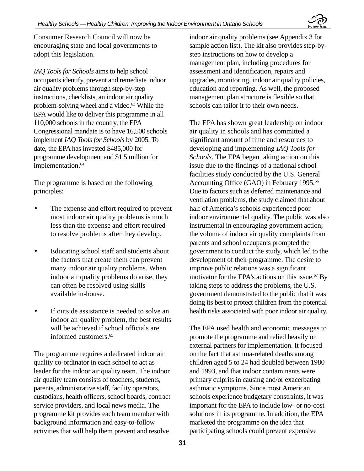Consumer Research Council will now be encouraging state and local governments to adopt this legislation.

*IAQ Tools for Schools* aims to help school occupants identify, prevent and remediate indoor air quality problems through step-by-step instructions, checklists, an indoor air quality problem-solving wheel and a video.<sup>63</sup> While the EPA would like to deliver this programme in all 110,000 schools in the country, the EPA Congressional mandate is to have 16,500 schools implement *IAQ Tools for Schools* by 2005. To date, the EPA has invested \$485,000 for programme development and \$1.5 million for implementation.<sup>64</sup>

The programme is based on the following principles:

- The expense and effort required to prevent most indoor air quality problems is much less than the expense and effort required to resolve problems after they develop.
- Educating school staff and students about the factors that create them can prevent many indoor air quality problems. When indoor air quality problems do arise, they can often be resolved using skills available in-house.
- If outside assistance is needed to solve an indoor air quality problem, the best results will be achieved if school officials are informed customers.<sup>65</sup>

The programme requires a dedicated indoor air quality co-ordinator in each school to act as leader for the indoor air quality team. The indoor air quality team consists of teachers, students, parents, administrative staff, facility operators, custodians, health officers, school boards, contract service providers, and local news media. The programme kit provides each team member with background information and easy-to-follow activities that will help them prevent and resolve

indoor air quality problems (see Appendix 3 for sample action list). The kit also provides step-bystep instructions on how to develop a management plan, including procedures for assessment and identification, repairs and upgrades, monitoring, indoor air quality policies, education and reporting. As well, the proposed management plan structure is flexible so that schools can tailor it to their own needs.

The EPA has shown great leadership on indoor air quality in schools and has committed a significant amount of time and resources to developing and implementing *IAQ Tools for Schools*. The EPA began taking action on this issue due to the findings of a national school facilities study conducted by the U.S. General Accounting Office (GAO) in February 1995.<sup>66</sup> Due to factors such as deferred maintenance and ventilation problems, the study claimed that about half of America's schools experienced poor indoor environmental quality. The public was also instrumental in encouraging government action; the volume of indoor air quality complaints from parents and school occupants prompted the government to conduct the study, which led to the development of their programme. The desire to improve public relations was a significant motivator for the EPA's actions on this issue. $67$  By taking steps to address the problems, the U.S. government demonstrated to the public that it was doing its best to protect children from the potential health risks associated with poor indoor air quality.

The EPA used health and economic messages to promote the programme and relied heavily on external partners for implementation. It focused on the fact that asthma-related deaths among children aged 5 to 24 had doubled between 1980 and 1993, and that indoor contaminants were primary culprits in causing and/or exacerbating asthmatic symptoms. Since most American schools experience budgetary constraints, it was important for the EPA to include low- or no-cost solutions in its programme. In addition, the EPA marketed the programme on the idea that participating schools could prevent expensive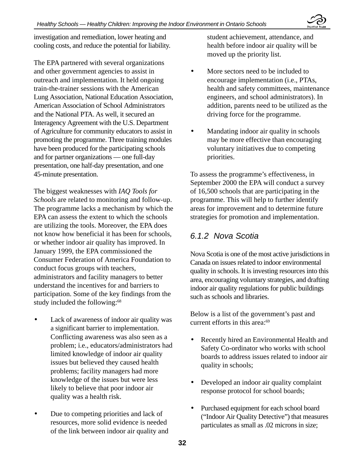<span id="page-31-0"></span>investigation and remediation, lower heating and cooling costs, and reduce the potential for liability.

The EPA partnered with several organizations and other government agencies to assist in outreach and implementation. It held ongoing train-the-trainer sessions with the American Lung Association, National Education Association, American Association of School Administrators and the National PTA. As well, it secured an Interagency Agreement with the U.S. Department of Agriculture for community educators to assist in promoting the programme. Three training modules have been produced for the participating schools and for partner organizations — one full-day presentation, one half-day presentation, and one 45-minute presentation.

The biggest weaknesses with *IAQ Tools for Schools* are related to monitoring and follow-up. The programme lacks a mechanism by which the EPA can assess the extent to which the schools are utilizing the tools. Moreover, the EPA does not know how beneficial it has been for schools, or whether indoor air quality has improved. In January 1999, the EPA commissioned the Consumer Federation of America Foundation to conduct focus groups with teachers, administrators and facility managers to better understand the incentives for and barriers to participation. Some of the key findings from the study included the following:<sup>68</sup>

- Lack of awareness of indoor air quality was a significant barrier to implementation. Conflicting awareness was also seen as a problem; i.e., educators/administrators had limited knowledge of indoor air quality issues but believed they caused health problems; facility managers had more knowledge of the issues but were less likely to believe that poor indoor air quality was a health risk.
- Due to competing priorities and lack of resources, more solid evidence is needed of the link between indoor air quality and

student achievement, attendance, and health before indoor air quality will be moved up the priority list.

- More sectors need to be included to encourage implementation (i.e., PTAs, health and safety committees, maintenance engineers, and school administrators). In addition, parents need to be utilized as the driving force for the programme.
- Mandating indoor air quality in schools may be more effective than encouraging voluntary initiatives due to competing priorities.

To assess the programme's effectiveness, in September 2000 the EPA will conduct a survey of 16,500 schools that are participating in the programme. This will help to further identify areas for improvement and to determine future strategies for promotion and implementation.

### 6.1.2 Nova Scotia

Nova Scotia is one of the most active jurisdictions in Canada on issues related to indoor environmental quality in schools. It is investing resources into this area, encouraging voluntary strategies, and drafting indoor air quality regulations for public buildings such as schools and libraries.

Below is a list of the government's past and current efforts in this area: $69$ 

- Recently hired an Environmental Health and Safety Co-ordinator who works with school boards to address issues related to indoor air quality in schools;
- Developed an indoor air quality complaint response protocol for school boards;
- Purchased equipment for each school board ("Indoor Air Quality Detective") that measures particulates as small as .02 microns in size;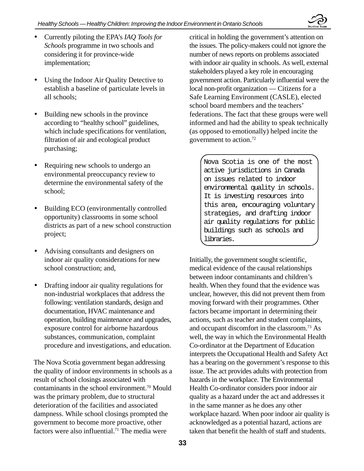- Currently piloting the EPA's *IAQ Tools for Schools* programme in two schools and considering it for province-wide implementation;
- Using the Indoor Air Quality Detective to establish a baseline of particulate levels in all schools;
- Building new schools in the province according to "healthy school" guidelines, which include specifications for ventilation, filtration of air and ecological product purchasing;
- Requiring new schools to undergo an environmental preoccupancy review to determine the environmental safety of the school;
- Building ECO (environmentally controlled opportunity) classrooms in some school districts as part of a new school construction project;
- Advising consultants and designers on indoor air quality considerations for new school construction; and,
- Drafting indoor air quality regulations for non-industrial workplaces that address the following: ventilation standards, design and documentation, HVAC maintenance and operation, building maintenance and upgrades, exposure control for airborne hazardous substances, communication, complaint procedure and investigations, and education.

The Nova Scotia government began addressing the quality of indoor environments in schools as a result of school closings associated with contaminants in the school environment.70 Mould was the primary problem, due to structural deterioration of the facilities and associated dampness. While school closings prompted the government to become more proactive, other factors were also influential.71 The media were

critical in holding the government's attention on the issues. The policy-makers could not ignore the number of news reports on problems associated with indoor air quality in schools. As well, external stakeholders played a key role in encouraging government action. Particularly influential were the local non-profit organization — Citizens for a Safe Learning Environment (CASLE), elected school board members and the teachers' federations. The fact that these groups were well informed and had the ability to speak technically (as opposed to emotionally) helped incite the government to action.72

> Nova Scotia is one of the most active jurisdictions in Canada on issues related to indoor environmental quality in schools. It is investing resources into this area, encouraging voluntary strategies, and drafting indoor air quality regulations for public buildings such as schools and libraries.

Initially, the government sought scientific, medical evidence of the causal relationships between indoor contaminants and children's health. When they found that the evidence was unclear, however, this did not prevent them from moving forward with their programmes. Other factors became important in determining their actions, such as teacher and student complaints, and occupant discomfort in the classroom.73 As well, the way in which the Environmental Health Co-ordinator at the Department of Education interprets the Occupational Health and Safety Act has a bearing on the government's response to this issue. The act provides adults with protection from hazards in the workplace. The Environmental Health Co-ordinator considers poor indoor air quality as a hazard under the act and addresses it in the same manner as he does any other workplace hazard. When poor indoor air quality is acknowledged as a potential hazard, actions are taken that benefit the health of staff and students.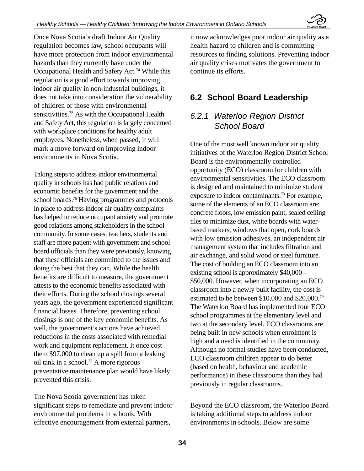<span id="page-33-0"></span>Once Nova Scotia's draft Indoor Air Quality regulation becomes law, school occupants will have more protection from indoor environmental hazards than they currently have under the Occupational Health and Safety Act.<sup>74</sup> While this regulation is a good effort towards improving indoor air quality in non-industrial buildings, it does not take into consideration the vulnerability of children or those with environmental sensitivities.<sup>75</sup> As with the Occupational Health and Safety Act, this regulation is largely concerned with workplace conditions for healthy adult employees. Nonetheless, when passed, it will mark a move forward on improving indoor environments in Nova Scotia.

Taking steps to address indoor environmental quality in schools has had public relations and economic benefits for the government and the school boards.<sup>76</sup> Having programmes and protocols in place to address indoor air quality complaints has helped to reduce occupant anxiety and promote good relations among stakeholders in the school community. In some cases, teachers, students and staff are more patient with government and school board officials than they were previously, knowing that these officials are committed to the issues and doing the best that they can. While the health benefits are difficult to measure, the government attests to the economic benefits associated with their efforts. During the school closings several years ago, the government experienced significant financial losses. Therefore, preventing school closings is one of the key economic benefits. As well, the government's actions have achieved reductions in the costs associated with remedial work and equipment replacement. It once cost them \$97,000 to clean up a spill from a leaking oil tank in a school.77 A more rigorous preventative maintenance plan would have likely prevented this crisis.

The Nova Scotia government has taken significant steps to remediate and prevent indoor environmental problems in schools. With effective encouragement from external partners,

it now acknowledges poor indoor air quality as a health hazard to children and is committing resources to finding solutions. Preventing indoor air quality crises motivates the government to continue its efforts.

### **6.2 School Board Leadership**

### 6.2.1 Waterloo Region District School Board

One of the most well known indoor air quality initiatives of the Waterloo Region District School Board is the environmentally controlled opportunity (ECO) classroom for children with environmental sensitivities. The ECO classroom is designed and maintained to minimize student exposure to indoor contaminants.78 For example, some of the elements of an ECO classroom are: concrete floors, low emission paint, sealed ceiling tiles to minimize dust, white boards with waterbased markers, windows that open, cork boards with low emission adhesives, an independent air management system that includes filtration and air exchange, and solid wood or steel furniture. The cost of building an ECO classroom into an existing school is approximately \$40,000 – \$50,000. However, when incorporating an ECO classroom into a newly built facility, the cost is estimated to be between \$10,000 and \$20,000.<sup>79</sup> The Waterloo Board has implemented four ECO school programmes at the elementary level and two at the secondary level. ECO classrooms are being built in new schools when enrolment is high and a need is identified in the community. Although no formal studies have been conducted, ECO classroom children appear to do better (based on health, behaviour and academic performance) in these classrooms than they had previously in regular classrooms.

Beyond the ECO classroom, the Waterloo Board is taking additional steps to address indoor environments in schools. Below are some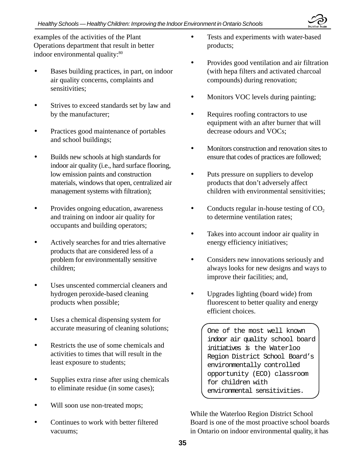

examples of the activities of the Plant Operations department that result in better indoor environmental quality:<sup>80</sup>

- Bases building practices, in part, on indoor air quality concerns, complaints and sensitivities;
- Strives to exceed standards set by law and by the manufacturer;
- Practices good maintenance of portables and school buildings;
- Builds new schools at high standards for indoor air quality (i.e., hard surface flooring, low emission paints and construction materials, windows that open, centralized air management systems with filtration);
- Provides ongoing education, awareness and training on indoor air quality for occupants and building operators;
- Actively searches for and tries alternative products that are considered less of a problem for environmentally sensitive children;
- Uses unscented commercial cleaners and hydrogen peroxide-based cleaning products when possible;
- Uses a chemical dispensing system for accurate measuring of cleaning solutions;
- Restricts the use of some chemicals and activities to times that will result in the least exposure to students;
- Supplies extra rinse after using chemicals to eliminate residue (in some cases);
- Will soon use non-treated mops;
- Continues to work with better filtered vacuums;
- Tests and experiments with water-based products;
- Provides good ventilation and air filtration (with hepa filters and activated charcoal compounds) during renovation;
- Monitors VOC levels during painting;
- Requires roofing contractors to use equipment with an after burner that will decrease odours and VOCs;
- Monitors construction and renovation sites to ensure that codes of practices are followed;
- Puts pressure on suppliers to develop products that don't adversely affect children with environmental sensitivities;
- Conducts regular in-house testing of  $CO<sub>2</sub>$ to determine ventilation rates;
- Takes into account indoor air quality in energy efficiency initiatives;
- Considers new innovations seriously and always looks for new designs and ways to improve their facilities; and,
- Upgrades lighting (board wide) from fluorescent to better quality and energy efficient choices.

While the Waterloo Region District School Board is one of the most proactive school boards in Ontario on indoor environmental quality, it has

One of the most well known indoor air quality school board initiatives is the Waterloo Region District School Board's environmentally controlled opportunity (ECO) classroom for children with environmental sensitivities.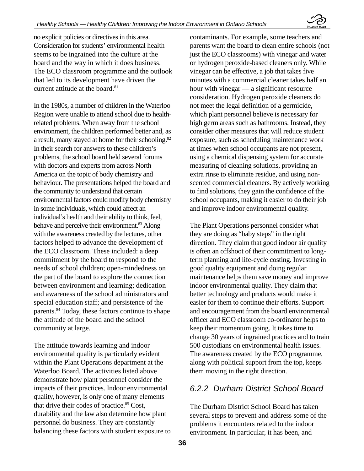<span id="page-35-0"></span>no explicit policies or directives in this area. Consideration for students' environmental health seems to be ingrained into the culture at the board and the way in which it does business. The ECO classroom programme and the outlook that led to its development have driven the current attitude at the board.<sup>81</sup>

In the 1980s, a number of children in the Waterloo Region were unable to attend school due to healthrelated problems. When away from the school environment, the children performed better and, as a result, many stayed at home for their schooling.<sup>82</sup> In their search for answers to these children's problems, the school board held several forums with doctors and experts from across North America on the topic of body chemistry and behaviour. The presentations helped the board and the community to understand that certain environmental factors could modify body chemistry in some individuals, which could affect an individual's health and their ability to think, feel, behave and perceive their environment.<sup>83</sup> Along with the awareness created by the lectures, other factors helped to advance the development of the ECO classroom. These included: a deep commitment by the board to respond to the needs of school children; open-mindedness on the part of the board to explore the connection between environment and learning; dedication and awareness of the school administrators and special education staff; and persistence of the parents.84 Today, these factors continue to shape the attitude of the board and the school community at large.

The attitude towards learning and indoor environmental quality is particularly evident within the Plant Operations department at the Waterloo Board. The activities listed above demonstrate how plant personnel consider the impacts of their practices. Indoor environmental quality, however, is only one of many elements that drive their codes of practice.<sup>85</sup> Cost, durability and the law also determine how plant personnel do business. They are constantly balancing these factors with student exposure to contaminants. For example, some teachers and parents want the board to clean entire schools (not just the ECO classrooms) with vinegar and water or hydrogen peroxide-based cleaners only. While vinegar can be effective, a job that takes five minutes with a commercial cleaner takes half an hour with vinegar — a significant resource consideration. Hydrogen peroxide cleaners do not meet the legal definition of a germicide, which plant personnel believe is necessary for high germ areas such as bathrooms. Instead, they consider other measures that will reduce student exposure, such as scheduling maintenance work at times when school occupants are not present, using a chemical dispensing system for accurate measuring of cleaning solutions, providing an extra rinse to eliminate residue, and using nonscented commercial cleaners. By actively working to find solutions, they gain the confidence of the school occupants, making it easier to do their job and improve indoor environmental quality.

The Plant Operations personnel consider what they are doing as "baby steps" in the right direction. They claim that good indoor air quality is often an offshoot of their commitment to longterm planning and life-cycle costing. Investing in good quality equipment and doing regular maintenance helps them save money and improve indoor environmental quality. They claim that better technology and products would make it easier for them to continue their efforts. Support and encouragement from the board environmental officer and ECO classroom co-ordinator helps to keep their momentum going. It takes time to change 30 years of ingrained practices and to train 500 custodians on environmental health issues. The awareness created by the ECO programme, along with political support from the top, keeps them moving in the right direction.

### 6.2.2 Durham District School Board

The Durham District School Board has taken several steps to prevent and address some of the problems it encounters related to the indoor environment. In particular, it has been, and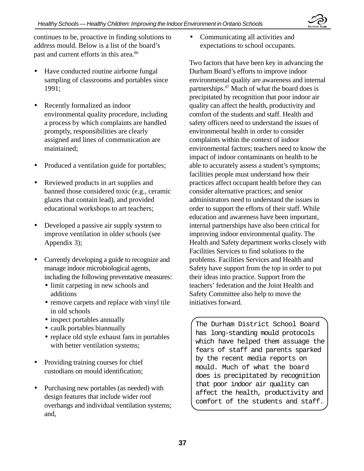

continues to be, proactive in finding solutions to address mould. Below is a list of the board's past and current efforts in this area.<sup>86</sup>

- Have conducted routine airborne fungal sampling of classrooms and portables since 1991;
- Recently formalized an indoor environmental quality procedure, including a process by which complaints are handled promptly, responsibilities are clearly assigned and lines of communication are maintained;
- Produced a ventilation guide for portables;
- Reviewed products in art supplies and banned those considered toxic (e.g., ceramic glazes that contain lead), and provided educational workshops to art teachers;
- Developed a passive air supply system to improve ventilation in older schools (see Appendix 3);
- Currently developing a guide to recognize and manage indoor microbiological agents, including the following preventative measures:
	- limit carpeting in new schools and additions
	- remove carpets and replace with vinyl tile in old schools
	- inspect portables annually
	- caulk portables biannually
	- replace old style exhaust fans in portables with better ventilation systems;
- Providing training courses for chief custodians on mould identification;
- Purchasing new portables (as needed) with design features that include wider roof overhangs and individual ventilation systems; and,

• Communicating all activities and expectations to school occupants.

Two factors that have been key in advancing the Durham Board's efforts to improve indoor environmental quality are awareness and internal partnerships.<sup>87</sup> Much of what the board does is precipitated by recognition that poor indoor air quality can affect the health, productivity and comfort of the students and staff. Health and safety officers need to understand the issues of environmental health in order to consider complaints within the context of indoor environmental factors; teachers need to know the impact of indoor contaminants on health to be able to accurately assess a student's symptoms; facilities people must understand how their practices affect occupant health before they can consider alternative practices; and senior administrators need to understand the issues in order to support the efforts of their staff. While education and awareness have been important, internal partnerships have also been critical for improving indoor environmental quality. The Health and Safety department works closely with Facilities Services to find solutions to the problems. Facilities Services and Health and Safety have support from the top in order to put their ideas into practice. Support from the teachers' federation and the Joint Health and Safety Committee also help to move the initiatives forward.

The Durham District School Board has long-standing mould protocols which have helped them assuage the fears of staff and parents sparked by the recent media reports on mould. Much of what the board does is precipitated by recognition that poor indoor air quality can affect the health, productivity and comfort of the students and staff.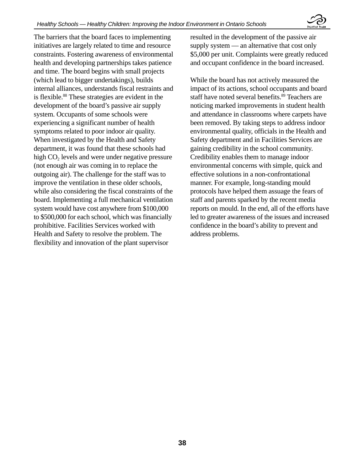<span id="page-37-0"></span>The barriers that the board faces to implementing initiatives are largely related to time and resource constraints. Fostering awareness of environmental health and developing partnerships takes patience and time. The board begins with small projects (which lead to bigger undertakings), builds internal alliances, understands fiscal restraints and is flexible.88 These strategies are evident in the development of the board's passive air supply system. Occupants of some schools were experiencing a significant number of health symptoms related to poor indoor air quality. When investigated by the Health and Safety department, it was found that these schools had high  $CO<sub>2</sub>$  levels and were under negative pressure (not enough air was coming in to replace the outgoing air). The challenge for the staff was to improve the ventilation in these older schools, while also considering the fiscal constraints of the board. Implementing a full mechanical ventilation system would have cost anywhere from \$100,000 to \$500,000 for each school, which was financially prohibitive. Facilities Services worked with Health and Safety to resolve the problem. The flexibility and innovation of the plant supervisor

resulted in the development of the passive air supply system — an alternative that cost only \$5,000 per unit. Complaints were greatly reduced and occupant confidence in the board increased.

While the board has not actively measured the impact of its actions, school occupants and board staff have noted several benefits.<sup>89</sup> Teachers are noticing marked improvements in student health and attendance in classrooms where carpets have been removed. By taking steps to address indoor environmental quality, officials in the Health and Safety department and in Facilities Services are gaining credibility in the school community. Credibility enables them to manage indoor environmental concerns with simple, quick and effective solutions in a non-confrontational manner. For example, long-standing mould protocols have helped them assuage the fears of staff and parents sparked by the recent media reports on mould. In the end, all of the efforts have led to greater awareness of the issues and increased confidence in the board's ability to prevent and address problems.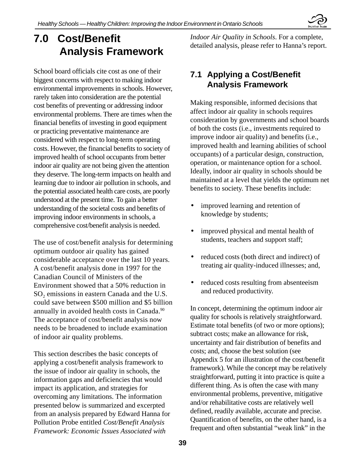<span id="page-38-0"></span>

School board officials cite cost as one of their biggest concerns with respect to making indoor environmental improvements in schools. However, rarely taken into consideration are the potential cost benefits of preventing or addressing indoor environmental problems. There are times when the financial benefits of investing in good equipment or practicing preventative maintenance are considered with respect to long-term operating costs. However, the financial benefits to society of improved health of school occupants from better indoor air quality are not being given the attention they deserve. The long-term impacts on health and learning due to indoor air pollution in schools, and the potential associated health care costs, are poorly understood at the present time. To gain a better understanding of the societal costs and benefits of improving indoor environments in schools, a comprehensive cost/benefit analysis is needed.

The use of cost/benefit analysis for determining optimum outdoor air quality has gained considerable acceptance over the last 10 years. A cost/benefit analysis done in 1997 for the Canadian Council of Ministers of the Environment showed that a 50% reduction in  $SO<sub>2</sub>$  emissions in eastern Canada and the U.S. could save between \$500 million and \$5 billion annually in avoided health costs in Canada.<sup>90</sup> The acceptance of cost/benefit analysis now needs to be broadened to include examination of indoor air quality problems.

This section describes the basic concepts of applying a cost/benefit analysis framework to the issue of indoor air quality in schools, the information gaps and deficiencies that would impact its application, and strategies for overcoming any limitations. The information presented below is summarized and excerpted from an analysis prepared by Edward Hanna for Pollution Probe entitled *Cost/Benefit Analysis Framework: Economic Issues Associated with*

*Indoor Air Quality in Schools*. For a complete, detailed analysis, please refer to Hanna's report.

### **7.1 Applying a Cost/Benefit Analysis Framework**

Making responsible, informed decisions that affect indoor air quality in schools requires consideration by governments and school boards of both the costs (i.e., investments required to improve indoor air quality) and benefits (i.e., improved health and learning abilities of school occupants) of a particular design, construction, operation, or maintenance option for a school. Ideally, indoor air quality in schools should be maintained at a level that yields the optimum net benefits to society. These benefits include:

- improved learning and retention of knowledge by students;
- improved physical and mental health of students, teachers and support staff;
- reduced costs (both direct and indirect) of treating air quality-induced illnesses; and,
- reduced costs resulting from absenteeism and reduced productivity.

In concept, determining the optimum indoor air quality for schools is relatively straightforward. Estimate total benefits (of two or more options); subtract costs; make an allowance for risk, uncertainty and fair distribution of benefits and costs; and, choose the best solution (see Appendix 5 for an illustration of the cost/benefit framework). While the concept may be relatively straightforward, putting it into practice is quite a different thing. As is often the case with many environmental problems, preventive, mitigative and/or rehabilitative costs are relatively well defined, readily available, accurate and precise. Quantification of benefits, on the other hand, is a frequent and often substantial "weak link" in the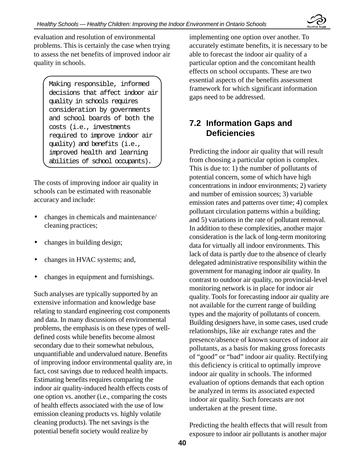<span id="page-39-0"></span>evaluation and resolution of environmental problems. This is certainly the case when trying to assess the net benefits of improved indoor air quality in schools.

> Making responsible, informed decisions that affect indoor air quality in schools requires consideration by governments and school boards of both the costs (i.e., investments required to improve indoor air quality) and benefits (i.e., improved health and learning abilities of school occupants).

The costs of improving indoor air quality in schools can be estimated with reasonable accuracy and include:

- changes in chemicals and maintenance/ cleaning practices;
- changes in building design;
- changes in HVAC systems; and,
- changes in equipment and furnishings.

Such analyses are typically supported by an extensive information and knowledge base relating to standard engineering cost components and data. In many discussions of environmental problems, the emphasis is on these types of welldefined costs while benefits become almost secondary due to their somewhat nebulous, unquantifiable and undervalued nature. Benefits of improving indoor environmental quality are, in fact, cost savings due to reduced health impacts. Estimating benefits requires comparing the indoor air quality-induced health effects costs of one option vs. another (i.e., comparing the costs of health effects associated with the use of low emission cleaning products vs. highly volatile cleaning products). The net savings is the potential benefit society would realize by

implementing one option over another. To accurately estimate benefits, it is necessary to be able to forecast the indoor air quality of a particular option and the concomitant health effects on school occupants. These are two essential aspects of the benefits assessment framework for which significant information gaps need to be addressed.

### **7.2 Information Gaps and Deficiencies**

Predicting the indoor air quality that will result from choosing a particular option is complex. This is due to: 1) the number of pollutants of potential concern, some of which have high concentrations in indoor environments; 2) variety and number of emission sources; 3) variable emission rates and patterns over time; 4) complex pollutant circulation patterns within a building; and 5) variations in the rate of pollutant removal. In addition to these complexities, another major consideration is the lack of long-term monitoring data for virtually all indoor environments. This lack of data is partly due to the absence of clearly delegated administrative responsibility within the government for managing indoor air quality. In contrast to outdoor air quality, no provincial-level monitoring network is in place for indoor air quality. Tools for forecasting indoor air quality are not available for the current range of building types and the majority of pollutants of concern. Building designers have, in some cases, used crude relationships, like air exchange rates and the presence/absence of known sources of indoor air pollutants, as a basis for making gross forecasts of "good" or "bad" indoor air quality. Rectifying this deficiency is critical to optimally improve indoor air quality in schools. The informed evaluation of options demands that each option be analyzed in terms its associated expected indoor air quality. Such forecasts are not undertaken at the present time.

Predicting the health effects that will result from exposure to indoor air pollutants is another major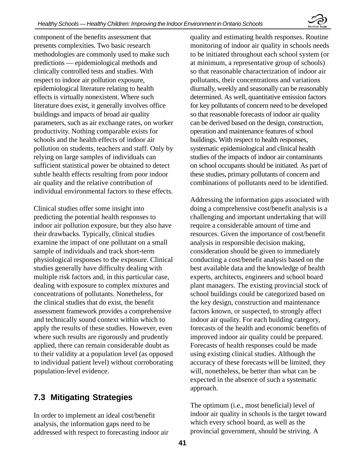<span id="page-40-0"></span>component of the benefits assessment that presents complexities. Two basic research methodologies are commonly used to make such predictions — epidemiological methods and clinically controlled tests and studies. With respect to indoor air pollution exposure, epidemiological literature relating to health effects is virtually nonexistent. Where such literature does exist, it generally involves office buildings and impacts of broad air quality parameters, such as air exchange rates, on worker productivity. Nothing comparable exists for schools and the health effects of indoor air pollution on students, teachers and staff. Only by relying on large samples of individuals can sufficient statistical power be obtained to detect subtle health effects resulting from poor indoor air quality and the relative contribution of individual environmental factors to these effects.

Clinical studies offer some insight into predicting the potential health responses to indoor air pollution exposure, but they also have their drawbacks. Typically, clinical studies examine the impact of one pollutant on a small sample of individuals and track short-term physiological responses to the exposure. Clinical studies generally have difficulty dealing with multiple risk factors and, in this particular case, dealing with exposure to complex mixtures and concentrations of pollutants. Nonetheless, for the clinical studies that do exist, the benefit assessment framework provides a comprehensive and technically sound context within which to apply the results of these studies. However, even where such results are rigorously and prudently applied, there can remain considerable doubt as to their validity at a population level (as opposed to individual patient level) without corroborating population-level evidence.

### **7.3 Mitigating Strategies**

In order to implement an ideal cost/benefit analysis, the information gaps need to be addressed with respect to forecasting indoor air quality and estimating health responses. Routine monitoring of indoor air quality in schools needs to be initiated throughout each school system (or at minimum, a representative group of schools) so that reasonable characterization of indoor air pollutants, their concentrations and variations diurnally, weekly and seasonally can be reasonably determined. As well, quantitative emission factors for key pollutants of concern need to be developed so that reasonable forecasts of indoor air quality can be derived based on the design, construction, operation and maintenance features of school buildings. With respect to health responses, systematic epidemiological and clinical health studies of the impacts of indoor air contaminants on school occupants should be initiated. As part of these studies, primary pollutants of concern and combinations of pollutants need to be identified.

Addressing the information gaps associated with doing a comprehensive cost/benefit analysis is a challenging and important undertaking that will require a considerable amount of time and resources. Given the importance of cost/benefit analysis in responsible decision making, consideration should be given to immediately conducting a cost/benefit analysis based on the best available data and the knowledge of health experts, architects, engineers and school board plant managers. The existing provincial stock of school buildings could be categorized based on the key design, construction and maintenance factors known, or suspected, to strongly affect indoor air quality. For each building category, forecasts of the health and economic benefits of improved indoor air quality could be prepared. Forecasts of health responses could be made using existing clinical studies. Although the accuracy of these forecasts will be limited, they will, nonetheless, be better than what can be expected in the absence of such a systematic approach.

The optimum (i.e., most beneficial) level of indoor air quality in schools is the target toward which every school board, as well as the provincial government, should be striving. A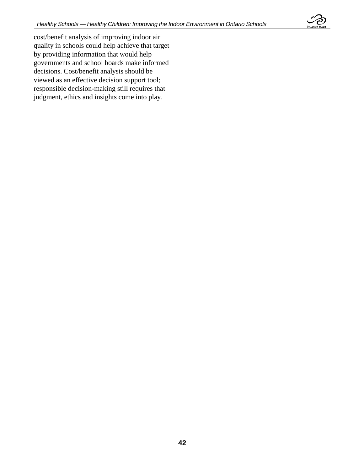

cost/benefit analysis of improving indoor air quality in schools could help achieve that target by providing information that would help governments and school boards make informed decisions. Cost/benefit analysis should be viewed as an effective decision support tool; responsible decision-making still requires that judgment, ethics and insights come into play.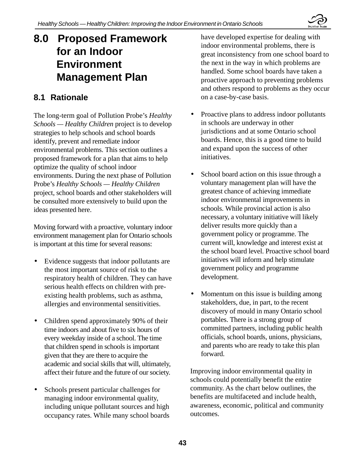# <span id="page-42-0"></span>**8.1 Rationale**

The long-term goal of Pollution Probe's *Healthy Schools — Healthy Children* project is to develop strategies to help schools and school boards identify, prevent and remediate indoor environmental problems. This section outlines a proposed framework for a plan that aims to help optimize the quality of school indoor environments. During the next phase of Pollution Probe's *Healthy Schools — Healthy Children* project, school boards and other stakeholders will be consulted more extensively to build upon the ideas presented here.

Moving forward with a proactive, voluntary indoor environment management plan for Ontario schools is important at this time for several reasons:

- Evidence suggests that indoor pollutants are the most important source of risk to the respiratory health of children. They can have serious health effects on children with preexisting health problems, such as asthma, allergies and environmental sensitivities.
- Children spend approximately 90% of their time indoors and about five to six hours of every weekday inside of a school. The time that children spend in schools is important given that they are there to acquire the academic and social skills that will, ultimately, affect their future and the future of our society.
- Schools present particular challenges for managing indoor environmental quality, including unique pollutant sources and high occupancy rates. While many school boards

have developed expertise for dealing with indoor environmental problems, there is great inconsistency from one school board to the next in the way in which problems are handled. Some school boards have taken a proactive approach to preventing problems and others respond to problems as they occur on a case-by-case basis.

- Proactive plans to address indoor pollutants in schools are underway in other jurisdictions and at some Ontario school boards. Hence, this is a good time to build and expand upon the success of other initiatives.
- School board action on this issue through a voluntary management plan will have the greatest chance of achieving immediate indoor environmental improvements in schools. While provincial action is also necessary, a voluntary initiative will likely deliver results more quickly than a government policy or programme. The current will, knowledge and interest exist at the school board level. Proactive school board initiatives will inform and help stimulate government policy and programme development.
- Momentum on this issue is building among stakeholders, due, in part, to the recent discovery of mould in many Ontario school portables. There is a strong group of committed partners, including public health officials, school boards, unions, physicians, and parents who are ready to take this plan forward.

Improving indoor environmental quality in schools could potentially benefit the entire community. As the chart below outlines, the benefits are multifaceted and include health, awareness, economic, political and community outcomes.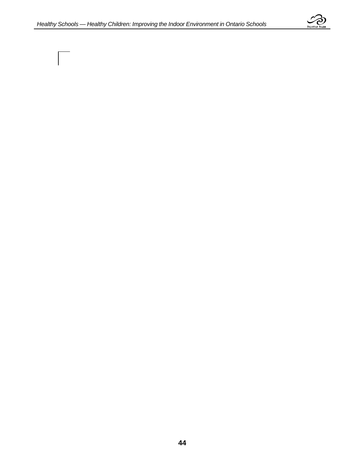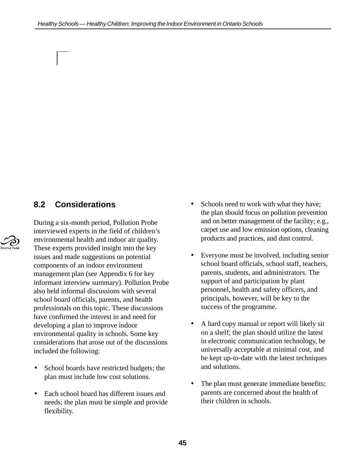#### <span id="page-44-0"></span>**8.2 Considerations**

During a six-month period, Pollution Probe interviewed experts in the field of children's environmental health and indoor air quality. These experts provided insight into the key issues and made suggestions on potential components of an indoor environment management plan (see Appendix 6 for key informant interview summary). Pollution Probe also held informal discussions with several school board officials, parents, and health professionals on this topic. These discussions have confirmed the interest in and need for developing a plan to improve indoor environmental quality in schools. Some key considerations that arose out of the discussions included the following:

- School boards have restricted budgets; the plan must include low cost solutions.
- Each school board has different issues and needs; the plan must be simple and provide flexibility.
- Schools need to work with what they have; the plan should focus on pollution prevention and on better management of the facility; e.g., carpet use and low emission options, cleaning products and practices, and dust control.
- Everyone must be involved, including senior school board officials, school staff, teachers, parents, students, and administrators. The support of and participation by plant personnel, health and safety officers, and principals, however, will be key to the success of the programme.
- A hard copy manual or report will likely sit on a shelf; the plan should utilize the latest in electronic communication technology, be universally acceptable at minimal cost, and be kept up-to-date with the latest techniques and solutions.
- The plan must generate immediate benefits; parents are concerned about the health of their children in schools.

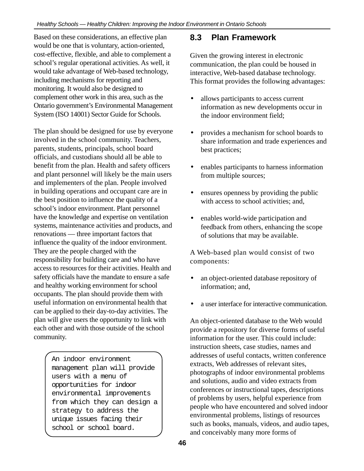Based on these considerations, an effective plan would be one that is voluntary, action-oriented, cost-effective, flexible, and able to complement a school's regular operational activities. As well, it would take advantage of Web-based technology, including mechanisms for reporting and monitoring. It would also be designed to complement other work in this area, such as the Ontario government's Environmental Management System (ISO 14001) Sector Guide for Schools.

The plan should be designed for use by everyone involved in the school community. Teachers, parents, students, principals, school board officials, and custodians should all be able to benefit from the plan. Health and safety officers and plant personnel will likely be the main users and implementers of the plan. People involved in building operations and occupant care are in the best position to influence the quality of a school's indoor environment. Plant personnel have the knowledge and expertise on ventilation systems, maintenance activities and products, and renovations — three important factors that influence the quality of the indoor environment. They are the people charged with the responsibility for building care and who have access to resources for their activities. Health and safety officials have the mandate to ensure a safe and healthy working environment for school occupants. The plan should provide them with useful information on environmental health that can be applied to their day-to-day activities. The plan will give users the opportunity to link with each other and with those outside of the school community.

> An indoor environment management plan will provide users with a menu of opportunities for indoor environmental improvements from which they can design a strategy to address the unique issues facing their school or school board.

#### **8.3 Plan Framework**

Given the growing interest in electronic communication, the plan could be housed in interactive, Web-based database technology. This format provides the following advantages:

- allows participants to access current information as new developments occur in the indoor environment field;
- provides a mechanism for school boards to share information and trade experiences and best practices;
- enables participants to harness information from multiple sources;
- ensures openness by providing the public with access to school activities; and,
- enables world-wide participation and feedback from others, enhancing the scope of solutions that may be available.

A Web-based plan would consist of two components:

- an object-oriented database repository of information; and,
- a user interface for interactive communication.

An object-oriented database to the Web would provide a repository for diverse forms of useful information for the user. This could include: instruction sheets, case studies, names and addresses of useful contacts, written conference extracts, Web addresses of relevant sites, photographs of indoor environmental problems and solutions, audio and video extracts from conferences or instructional tapes, descriptions of problems by users, helpful experience from people who have encountered and solved indoor environmental problems, listings of resources such as books, manuals, videos, and audio tapes, and conceivably many more forms of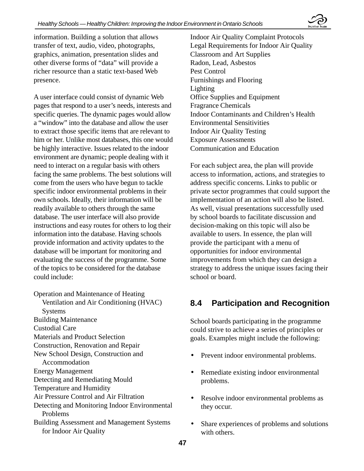

<span id="page-46-0"></span>information. Building a solution that allows transfer of text, audio, video, photographs, graphics, animation, presentation slides and other diverse forms of "data" will provide a richer resource than a static text-based Web presence.

A user interface could consist of dynamic Web pages that respond to a user's needs, interests and specific queries. The dynamic pages would allow a "window" into the database and allow the user to extract those specific items that are relevant to him or her. Unlike most databases, this one would be highly interactive. Issues related to the indoor environment are dynamic; people dealing with it need to interact on a regular basis with others facing the same problems. The best solutions will come from the users who have begun to tackle specific indoor environmental problems in their own schools. Ideally, their information will be readily available to others through the same database. The user interface will also provide instructions and easy routes for others to log their information into the database. Having schools provide information and activity updates to the database will be important for monitoring and evaluating the success of the programme. Some of the topics to be considered for the database could include:

Operation and Maintenance of Heating

Ventilation and Air Conditioning (HVAC)

- Systems
- Building Maintenance

Custodial Care

- Materials and Product Selection
- Construction, Renovation and Repair
- New School Design, Construction and
- Accommodation
- Energy Management
- Detecting and Remediating Mould
- Temperature and Humidity
- Air Pressure Control and Air Filtration
- Detecting and Monitoring Indoor Environmental Problems
- Building Assessment and Management Systems for Indoor Air Quality

Indoor Air Quality Complaint Protocols Legal Requirements for Indoor Air Quality Classroom and Art Supplies Radon, Lead, Asbestos Pest Control Furnishings and Flooring Lighting Office Supplies and Equipment Fragrance Chemicals Indoor Contaminants and Children's Health Environmental Sensitivities Indoor Air Quality Testing Exposure Assessments Communication and Education

For each subject area, the plan will provide access to information, actions, and strategies to address specific concerns. Links to public or private sector programmes that could support the implementation of an action will also be listed. As well, visual presentations successfully used by school boards to facilitate discussion and decision-making on this topic will also be available to users. In essence, the plan will provide the participant with a menu of opportunities for indoor environmental improvements from which they can design a strategy to address the unique issues facing their school or board.

# **8.4 Participation and Recognition**

School boards participating in the programme could strive to achieve a series of principles or goals. Examples might include the following:

- Prevent indoor environmental problems.
- Remediate existing indoor environmental problems.
- Resolve indoor environmental problems as they occur.
- Share experiences of problems and solutions with others.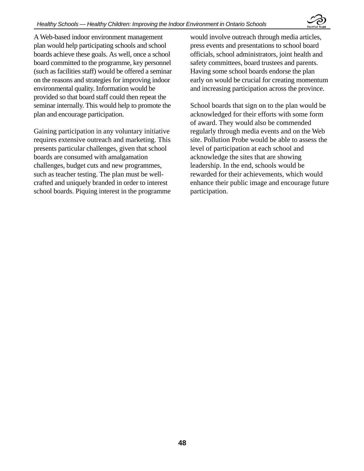#### Healthy Schools — Healthy Children: Improving the Indoor Environment in Ontario Schools



A Web-based indoor environment management plan would help participating schools and school boards achieve these goals. As well, once a school board committed to the programme, key personnel (such as facilities staff) would be offered a seminar on the reasons and strategies for improving indoor environmental quality. Information would be provided so that board staff could then repeat the seminar internally. This would help to promote the plan and encourage participation.

Gaining participation in any voluntary initiative requires extensive outreach and marketing. This presents particular challenges, given that school boards are consumed with amalgamation challenges, budget cuts and new programmes, such as teacher testing. The plan must be wellcrafted and uniquely branded in order to interest school boards. Piquing interest in the programme

would involve outreach through media articles, press events and presentations to school board officials, school administrators, joint health and safety committees, board trustees and parents. Having some school boards endorse the plan early on would be crucial for creating momentum and increasing participation across the province.

School boards that sign on to the plan would be acknowledged for their efforts with some form of award. They would also be commended regularly through media events and on the Web site. Pollution Probe would be able to assess the level of participation at each school and acknowledge the sites that are showing leadership. In the end, schools would be rewarded for their achievements, which would enhance their public image and encourage future participation.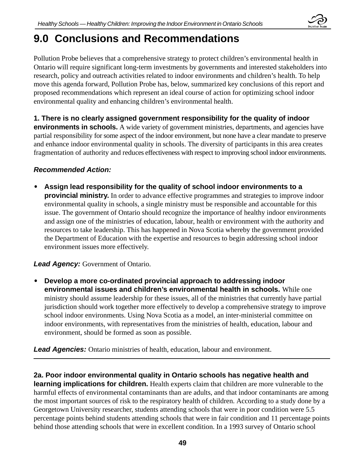

# **9.0 Conclusions and Recommendations**

Pollution Probe believes that a comprehensive strategy to protect children's environmental health in Ontario will require significant long-term investments by governments and interested stakeholders into research, policy and outreach activities related to indoor environments and children's health. To help move this agenda forward, Pollution Probe has, below, summarized key conclusions of this report and proposed recommendations which represent an ideal course of action for optimizing school indoor environmental quality and enhancing children's environmental health.

**1. There is no clearly assigned government responsibility for the quality of indoor environments in schools.** A wide variety of government ministries, departments, and agencies have partial responsibility for some aspect of the indoor environment, but none have a clear mandate to preserve and enhance indoor environmental quality in schools. The diversity of participants in this area creates fragmentation of authority and reduces effectiveness with respect to improving school indoor environments.

#### **Recommended Action:**

• **Assign lead responsibility for the quality of school indoor environments to a provincial ministry.** In order to advance effective programmes and strategies to improve indoor environmental quality in schools, a single ministry must be responsible and accountable for this issue. The government of Ontario should recognize the importance of healthy indoor environments and assign one of the ministries of education, labour, health or environment with the authority and resources to take leadership. This has happened in Nova Scotia whereby the government provided the Department of Education with the expertise and resources to begin addressing school indoor environment issues more effectively.

#### **Lead Agency:** Government of Ontario.

• **Develop a more co-ordinated provincial approach to addressing indoor environmental issues and children's environmental health in schools.** While one ministry should assume leadership for these issues, all of the ministries that currently have partial jurisdiction should work together more effectively to develop a comprehensive strategy to improve school indoor environments. Using Nova Scotia as a model, an inter-ministerial committee on indoor environments, with representatives from the ministries of health, education, labour and environment, should be formed as soon as possible.

Lead Agencies: Ontario ministries of health, education, labour and environment.

**2a. Poor indoor environmental quality in Ontario schools has negative health and learning implications for children.** Health experts claim that children are more vulnerable to the harmful effects of environmental contaminants than are adults, and that indoor contaminants are among the most important sources of risk to the respiratory health of children. According to a study done by a Georgetown University researcher, students attending schools that were in poor condition were 5.5 percentage points behind students attending schools that were in fair condition and 11 percentage points behind those attending schools that were in excellent condition. In a 1993 survey of Ontario school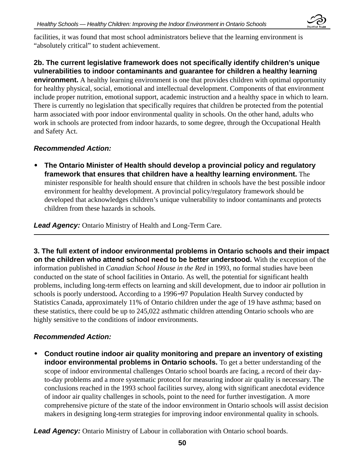

facilities, it was found that most school administrators believe that the learning environment is "absolutely critical" to student achievement.

#### **2b. The current legislative framework does not specifically identify children's unique vulnerabilities to indoor contaminants and guarantee for children a healthy learning**

**environment.** A healthy learning environment is one that provides children with optimal opportunity for healthy physical, social, emotional and intellectual development. Components of that environment include proper nutrition, emotional support, academic instruction and a healthy space in which to learn. There is currently no legislation that specifically requires that children be protected from the potential harm associated with poor indoor environmental quality in schools. On the other hand, adults who work in schools are protected from indoor hazards, to some degree, through the Occupational Health and Safety Act.

#### **Recommended Action:**

• **The Ontario Minister of Health should develop a provincial policy and regulatory framework that ensures that children have a healthy learning environment.** The minister responsible for health should ensure that children in schools have the best possible indoor environment for healthy development. A provincial policy/regulatory framework should be developed that acknowledges children's unique vulnerability to indoor contaminants and protects children from these hazards in schools.

**Lead Agency:** Ontario Ministry of Health and Long-Term Care.

**3. The full extent of indoor environmental problems in Ontario schools and their impact on the children who attend school need to be better understood.** With the exception of the information published in *Canadian School House in the Red* in 1993, no formal studies have been conducted on the state of school facilities in Ontario. As well, the potential for significant health problems, including long-term effects on learning and skill development, due to indoor air pollution in schools is poorly understood**.** According to a 1996−97 Population Health Survey conducted by Statistics Canada, approximately 11% of Ontario children under the age of 19 have asthma; based on these statistics, there could be up to 245,022 asthmatic children attending Ontario schools who are highly sensitive to the conditions of indoor environments.

#### **Recommended Action:**

• **Conduct routine indoor air quality monitoring and prepare an inventory of existing indoor environmental problems in Ontario schools.** To get a better understanding of the scope of indoor environmental challenges Ontario school boards are facing, a record of their dayto-day problems and a more systematic protocol for measuring indoor air quality is necessary. The conclusions reached in the 1993 school facilities survey, along with significant anecdotal evidence of indoor air quality challenges in schools, point to the need for further investigation. A more comprehensive picture of the state of the indoor environment in Ontario schools will assist decision makers in designing long-term strategies for improving indoor environmental quality in schools.

Lead Agency: Ontario Ministry of Labour in collaboration with Ontario school boards.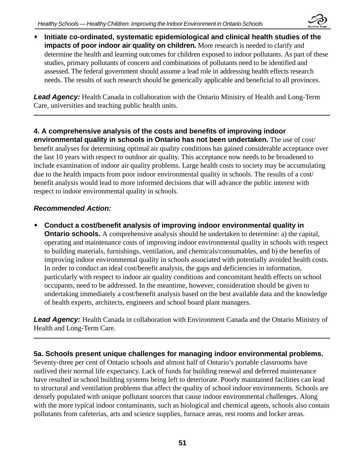

• **Initiate co-ordinated, systematic epidemiological and clinical health studies of the impacts of poor indoor air quality on children***.* More research is needed to clarify and determine the health and learning outcomes for children exposed to indoor pollutants. As part of these studies, primary pollutants of concern and combinations of pollutants need to be identified and assessed. The federal government should assume a lead role in addressing health effects research needs. The results of such research should be generically applicable and beneficial to all provinces.

**Lead Agency:** Health Canada in collaboration with the Ontario Ministry of Health and Long-Term Care, universities and teaching public health units.

**4. A comprehensive analysis of the costs and benefits of improving indoor environmental quality in schools in Ontario has not been undertaken.** The use of cost/ benefit analyses for determining optimal air quality conditions has gained considerable acceptance over the last 10 years with respect to outdoor air quality. This acceptance now needs to be broadened to include examination of indoor air quality problems. Large health costs to society may be accumulating due to the health impacts from poor indoor environmental quality in schools. The results of a cost/ benefit analysis would lead to more informed decisions that will advance the public interest with respect to indoor environmental quality in schools.

#### **Recommended Action:**

• **Conduct a cost/benefit analysis of improving indoor environmental quality in Ontario schools.** A comprehensive analysis should be undertaken to determine: a) the capital, operating and maintenance costs of improving indoor environmental quality in schools with respect to building materials, furnishings, ventilation, and chemicals/consumables, and b) the benefits of improving indoor environmental quality in schools associated with potentially avoided health costs. In order to conduct an ideal cost/benefit analysis, the gaps and deficiencies in information, particularly with respect to indoor air quality conditions and concomitant health effects on school occupants, need to be addressed. In the meantime, however, consideration should be given to undertaking immediately a cost/benefit analysis based on the best available data and the knowledge of health experts, architects, engineers and school board plant managers.

**Lead Agency:** Health Canada in collaboration with Environment Canada and the Ontario Ministry of Health and Long-Term Care.

**5a. Schools present unique challenges for managing indoor environmental problems.** Seventy-three per cent of Ontario schools and almost half of Ontario's portable classrooms have outlived their normal life expectancy. Lack of funds for building renewal and deferred maintenance have resulted in school building systems being left to deteriorate. Poorly maintained facilities can lead to structural and ventilation problems that affect the quality of school indoor environments. Schools are densely populated with unique pollutant sources that cause indoor environmental challenges. Along with the more typical indoor contaminants, such as biological and chemical agents, schools also contain pollutants from cafeterias, arts and science supplies, furnace areas, rest rooms and locker areas.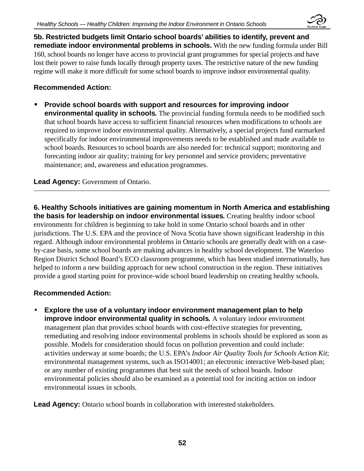

**5b. Restricted budgets limit Ontario school boards' abilities to identify, prevent and remediate indoor environmental problems in schools.** With the new funding formula under Bill 160, school boards no longer have access to provincial grant programmes for special projects and have lost their power to raise funds locally through property taxes. The restrictive nature of the new funding regime will make it more difficult for some school boards to improve indoor environmental quality.

#### **Recommended Action:**

• **Provide school boards with support and resources for improving indoor environmental quality in schools***.* The provincial funding formula needs to be modified such that school boards have access to sufficient financial resources when modifications to schools are required to improve indoor environmental quality. Alternatively, a special projects fund earmarked specifically for indoor environmental improvements needs to be established and made available to school boards. Resources to school boards are also needed for: technical support; monitoring and forecasting indoor air quality; training for key personnel and service providers; preventative maintenance; and, awareness and education programmes.

**Lead Agency: Government of Ontario.** 

**6. Healthy Schools initiatives are gaining momentum in North America and establishing the basis for leadership on indoor environmental issues***.* Creating healthy indoor school environments for children is beginning to take hold in some Ontario school boards and in other jurisdictions. The U.S. EPA and the province of Nova Scotia have shown significant leadership in this regard. Although indoor environmental problems in Ontario schools are generally dealt with on a caseby-case basis, some school boards are making advances in healthy school development. The Waterloo Region District School Board's ECO classroom programme, which has been studied internationally, has helped to inform a new building approach for new school construction in the region. These initiatives provide a good starting point for province-wide school board leadership on creating healthy schools.

#### **Recommended Action:**

• **Explore the use of a voluntary indoor environment management plan to help improve indoor environmental quality in schools.** A voluntary indoor environment management plan that provides school boards with cost-effective strategies for preventing, remediating and resolving indoor environmental problems in schools should be explored as soon as possible. Models for consideration should focus on pollution prevention and could include: activities underway at some boards; the U.S. EPA's *Indoor Air Quality Tools for Schools Action Kit*; environmental management systems, such as ISO14001; an electronic interactive Web-based plan; or any number of existing programmes that best suit the needs of school boards. Indoor environmental policies should also be examined as a potential tool for inciting action on indoor environmental issues in schools.

**Lead Agency:** Ontario school boards in collaboration with interested stakeholders.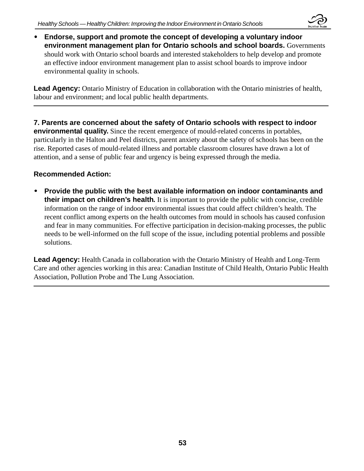

• **Endorse, support and promote the concept of developing a voluntary indoor environment management plan for Ontario schools and school boards.** Governments should work with Ontario school boards and interested stakeholders to help develop and promote an effective indoor environment management plan to assist school boards to improve indoor environmental quality in schools.

**Lead Agency:** Ontario Ministry of Education in collaboration with the Ontario ministries of health, labour and environment; and local public health departments.

**7. Parents are concerned about the safety of Ontario schools with respect to indoor environmental quality.** Since the recent emergence of mould-related concerns in portables, particularly in the Halton and Peel districts, parent anxiety about the safety of schools has been on the rise. Reported cases of mould-related illness and portable classroom closures have drawn a lot of attention, and a sense of public fear and urgency is being expressed through the media.

#### **Recommended Action:**

• **Provide the public with the best available information on indoor contaminants and their impact on children's health***.* It is important to provide the public with concise, credible information on the range of indoor environmental issues that could affect children's health. The recent conflict among experts on the health outcomes from mould in schools has caused confusion and fear in many communities. For effective participation in decision-making processes, the public needs to be well-informed on the full scope of the issue, including potential problems and possible solutions.

**Lead Agency:** Health Canada in collaboration with the Ontario Ministry of Health and Long-Term Care and other agencies working in this area: Canadian Institute of Child Health, Ontario Public Health Association, Pollution Probe and The Lung Association.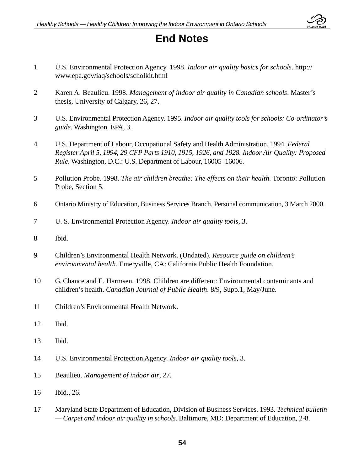

# **End Notes**

- 1 U.S. Environmental Protection Agency. 1998. *Indoor air quality basics for schools*. http:// www.epa.gov/iaq/schools/scholkit.html
- 2 Karen A. Beaulieu. 1998. *Management of indoor air quality in Canadian schools*. Master's thesis, University of Calgary, 26, 27.
- 3 U.S. Environmental Protection Agency. 1995. *Indoor air quality tools for schools: Co-ordinator's guide.* Washington. EPA, 3.
- 4 U.S. Department of Labour, Occupational Safety and Health Administration. 1994. *Federal Register April 5, 1994, 29 CFP Parts 1910, 1915, 1926, and 1928. Indoor Air Quality: Proposed Rule*. Washington, D.C.: U.S. Department of Labour, 16005–16006.
- 5 Pollution Probe. 1998. *The air children breathe: The effects on their health*. Toronto: Pollution Probe, Section 5.
- 6 Ontario Ministry of Education, Business Services Branch. Personal communication, 3 March 2000.
- 7 U. S. Environmental Protection Agency. *Indoor air quality tools,* 3.
- 8 Ibid.
- 9 Children's Environmental Health Network. (Undated). *Resource guide on children's environmental health*. Emeryville, CA: California Public Health Foundation.
- 10 G. Chance and E. Harmsen. 1998. Children are different: Environmental contaminants and children's health. *Canadian Journal of Public Health*. 8/9, Supp.1, May/June.
- 11 Children's Environmental Health Network.
- 12 Ibid.
- 13 Ibid.
- 14 U.S. Environmental Protection Agency. *Indoor air quality tools,* 3*.*
- 15 Beaulieu. *Management of indoor air*, 27.
- 16 Ibid., 26.
- 17 Maryland State Department of Education, Division of Business Services. 1993. *Technical bulletin — Carpet and indoor air quality in schools*. Baltimore, MD: Department of Education, 2-8.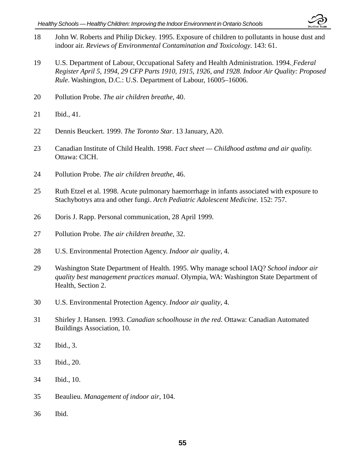

- 18 John W. Roberts and Philip Dickey. 1995. Exposure of children to pollutants in house dust and indoor air. *Reviews of Environmental Contamination and Toxicology*. 143: 61.
- 19 U.S. Department of Labour, Occupational Safety and Health Administration. 1994. *Federal Register April 5, 1994, 29 CFP Parts 1910, 1915, 1926, and 1928. Indoor Air Quality: Proposed Rule*. Washington, D.C.: U.S. Department of Labour, 16005–16006.
- 20 Pollution Probe. *The air children breathe*, 40.
- 21 Ibid., 41.
- 22 Dennis Beuckert. 1999. *The Toronto Star*. 13 January, A20.
- 23 Canadian Institute of Child Health. 1998. *Fact sheet Childhood asthma and air quality.* Ottawa: CICH.
- 24 Pollution Probe*. The air children breathe*, 46.
- 25 Ruth Etzel et al. 1998. Acute pulmonary haemorrhage in infants associated with exposure to Stachybotrys atra and other fungi. *Arch Pediatric Adolescent Medicine*. 152: 757.
- 26 Doris J. Rapp. Personal communication, 28 April 1999.
- 27 Pollution Probe. *The air children breathe*, 32.
- 28 U.S. Environmental Protection Agency. *Indoor air quality*, 4.
- 29 Washington State Department of Health. 1995. Why manage school IAQ? *School indoor air quality best management practices manual*. Olympia, WA: Washington State Department of Health, Section 2.
- 30 U.S. Environmental Protection Agency. *Indoor air quality*, 4.
- 31 Shirley J. Hansen. 1993. *Canadian schoolhouse in the red*. Ottawa: Canadian Automated Buildings Association, 10.
- 32 Ibid., 3.
- 33 Ibid., 20.
- 34 Ibid., 10.
- 35 Beaulieu. *Management of indoor air*, 104.
- 36 Ibid.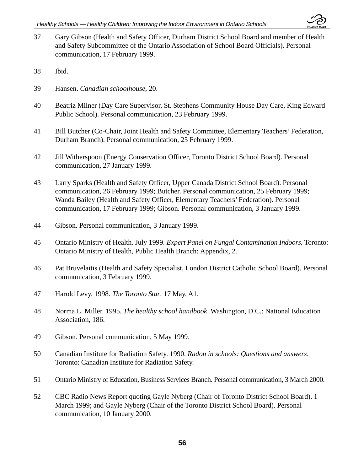

- 37 Gary Gibson (Health and Safety Officer, Durham District School Board and member of Health and Safety Subcommittee of the Ontario Association of School Board Officials). Personal communication, 17 February 1999.
- 38 Ibid.
- 39 Hansen. *Canadian schoolhouse*, 20.
- 40 Beatriz Milner (Day Care Supervisor, St. Stephens Community House Day Care, King Edward Public School). Personal communication, 23 February 1999.
- 41 Bill Butcher (Co-Chair, Joint Health and Safety Committee, Elementary Teachers' Federation, Durham Branch). Personal communication, 25 February 1999.
- 42 Jill Witherspoon (Energy Conservation Officer, Toronto District School Board). Personal communication, 27 January 1999.
- 43 Larry Sparks (Health and Safety Officer, Upper Canada District School Board). Personal communication, 26 February 1999; Butcher. Personal communication, 25 February 1999; Wanda Bailey (Health and Safety Officer, Elementary Teachers' Federation). Personal communication, 17 February 1999; Gibson. Personal communication, 3 January 1999.
- 44 Gibson. Personal communication, 3 January 1999.
- 45 Ontario Ministry of Health. July 1999. *Expert Panel on Fungal Contamination Indoors.* Toronto: Ontario Ministry of Health, Public Health Branch: Appendix, 2.
- 46 Pat Bruvelaitis (Health and Safety Specialist, London District Catholic School Board). Personal communication, 3 February 1999.
- 47 Harold Levy. 1998. *The Toronto Star*. 17 May, A1.
- 48 Norma L. Miller. 1995. *The healthy school handbook*. Washington, D.C.: National Education Association, 186.
- 49 Gibson. Personal communication, 5 May 1999.
- 50 Canadian Institute for Radiation Safety. 1990. *Radon in schools: Questions and answers*. Toronto: Canadian Institute for Radiation Safety.
- 51 Ontario Ministry of Education, Business Services Branch. Personal communication, 3 March 2000.
- 52 CBC Radio News Report quoting Gayle Nyberg (Chair of Toronto District School Board). 1 March 1999; and Gayle Nyberg (Chair of the Toronto District School Board). Personal communication, 10 January 2000.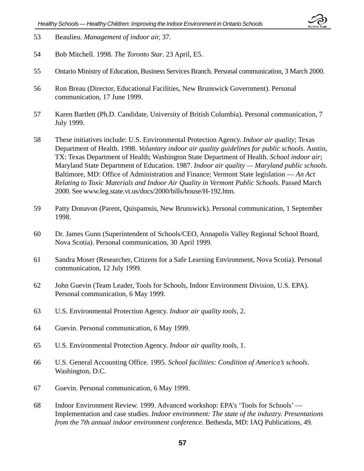

- 53 Beaulieu. *Management of indoor air,* 37*.*
- 54 Bob Mitchell. 1998. *The Toronto Star*. 23 April, E5.
- 55 Ontario Ministry of Education, Business Services Branch. Personal communication, 3 March 2000.
- 56 Ron Breau (Director, Educational Facilities, New Brunswick Government). Personal communication, 17 June 1999.
- 57 Karen Bartlett (Ph.D. Candidate, University of British Columbia). Personal communication, 7 July 1999.
- 58 These initiatives include: U.S. Environmental Protection Agency. *Indoor air quality*; Texas Department of Health. 1998. *Voluntary indoor air quality guidelines for public schools*. Austin, TX: Texas Department of Health; Washington State Department of Health. *School indoor air*; Maryland State Department of Education. 1987. *Indoor air quality — Maryland public schools*. Baltimore, MD: Office of Administration and Finance; Vermont State legislation — *An Act Relating to Toxic Materials and Indoor Air Quality in Vermont Public Schools*. Passed March 2000. See www.leg.state.vt.us/docs/2000/bills/house/H-192.htm.
- 59 Patty Donavon (Parent, Quispamsis, New Brunswick). Personal communication, 1 September 1998.
- 60 Dr. James Gunn (Superintendent of Schools/CEO, Annapolis Valley Regional School Board, Nova Scotia). Personal communication, 30 April 1999.
- 61 Sandra Moser (Researcher, Citizens for a Safe Learning Environment, Nova Scotia). Personal communication, 12 July 1999.
- 62 John Guevin (Team Leader, Tools for Schools, Indoor Environment Division, U.S. EPA). Personal communication, 6 May 1999.
- 63 U.S. Environmental Protection Agency. *Indoor air quality tools*, 2.
- 64 Guevin. Personal communication, 6 May 1999.
- 65 U.S. Environmental Protection Agency. *Indoor air quality tools*, 1.
- 66 U.S. General Accounting Office. 1995. *School facilities: Condition of America's schools*. Washington, D.C.
- 67 Guevin. Personal communication, 6 May 1999.
- 68 Indoor Environment Review. 1999. Advanced workshop: EPA's 'Tools for Schools' Implementation and case studies. *Indoor environment: The state of the industry. Presentations from the 7th annual indoor environment conference*. Bethesda, MD: IAQ Publications, 49.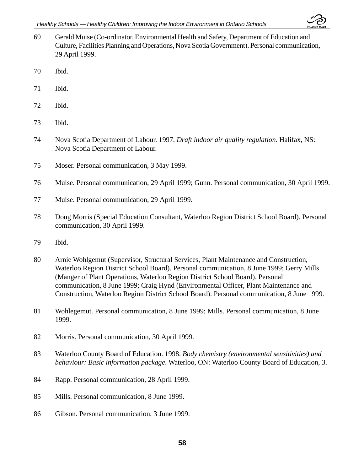- 69 Gerald Muise (Co-ordinator, Environmental Health and Safety, Department of Education and Culture, Facilities Planning and Operations, Nova Scotia Government). Personal communication, 29 April 1999.
- 70 Ibid.
- 71 Ibid.
- 72 Ibid.
- 73 Ibid.
- 74 Nova Scotia Department of Labour. 1997. *Draft indoor air quality regulation*. Halifax, NS: Nova Scotia Department of Labour.
- 75 Moser. Personal communication, 3 May 1999.
- 76 Muise. Personal communication, 29 April 1999; Gunn. Personal communication, 30 April 1999.
- 77 Muise. Personal communication, 29 April 1999.
- 78 Doug Morris (Special Education Consultant, Waterloo Region District School Board). Personal communication, 30 April 1999.
- 79 Ibid.
- 80 Arnie Wohlgemut (Supervisor, Structural Services, Plant Maintenance and Construction, Waterloo Region District School Board). Personal communication, 8 June 1999; Gerry Mills (Manger of Plant Operations, Waterloo Region District School Board). Personal communication, 8 June 1999; Craig Hynd (Environmental Officer, Plant Maintenance and Construction, Waterloo Region District School Board). Personal communication, 8 June 1999.
- 81 Wohlegemut. Personal communication, 8 June 1999; Mills. Personal communication, 8 June 1999.
- 82 Morris. Personal communication, 30 April 1999.
- 83 Waterloo County Board of Education. 1998. *Body chemistry (environmental sensitivities) and behaviour: Basic information package*. Waterloo, ON: Waterloo County Board of Education, 3.
- 84 Rapp. Personal communication, 28 April 1999.
- 85 Mills. Personal communication, 8 June 1999.
- 86 Gibson. Personal communication, 3 June 1999.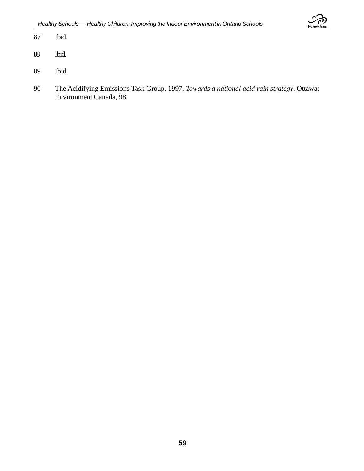

- 87 Ibid.
- 88 Ibid.
- 89 Ibid.
- 90 The Acidifying Emissions Task Group. 1997. *Towards a national acid rain strategy*. Ottawa: Environment Canada, 98.